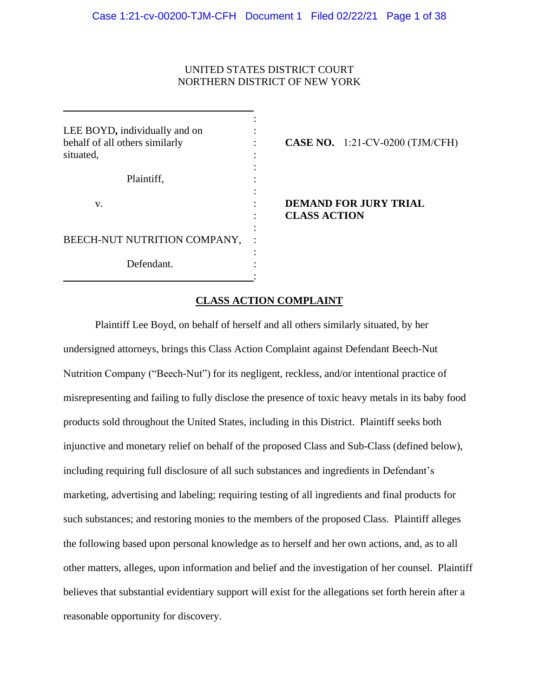# UNITED STATES DISTRICT COURT NORTHERN DISTRICT OF NEW YORK

| LEE BOYD, individually and on<br>behalf of all others similarly<br>situated, | <b>CASE NO.</b> 1:21-CV-0200 (TJM/CFH)              |
|------------------------------------------------------------------------------|-----------------------------------------------------|
| Plaintiff,                                                                   |                                                     |
| V.                                                                           | <b>DEMAND FOR JURY TRIAL</b><br><b>CLASS ACTION</b> |
| BEECH-NUT NUTRITION COMPANY,                                                 |                                                     |
| Defendant.                                                                   |                                                     |

# **CLASS ACTION COMPLAINT**

Plaintiff Lee Boyd, on behalf of herself and all others similarly situated, by her undersigned attorneys, brings this Class Action Complaint against Defendant Beech-Nut Nutrition Company ("Beech-Nut") for its negligent, reckless, and/or intentional practice of misrepresenting and failing to fully disclose the presence of toxic heavy metals in its baby food products sold throughout the United States, including in this District. Plaintiff seeks both injunctive and monetary relief on behalf of the proposed Class and Sub-Class (defined below), including requiring full disclosure of all such substances and ingredients in Defendant's marketing, advertising and labeling; requiring testing of all ingredients and final products for such substances; and restoring monies to the members of the proposed Class. Plaintiff alleges the following based upon personal knowledge as to herself and her own actions, and, as to all other matters, alleges, upon information and belief and the investigation of her counsel. Plaintiff believes that substantial evidentiary support will exist for the allegations set forth herein after a reasonable opportunity for discovery.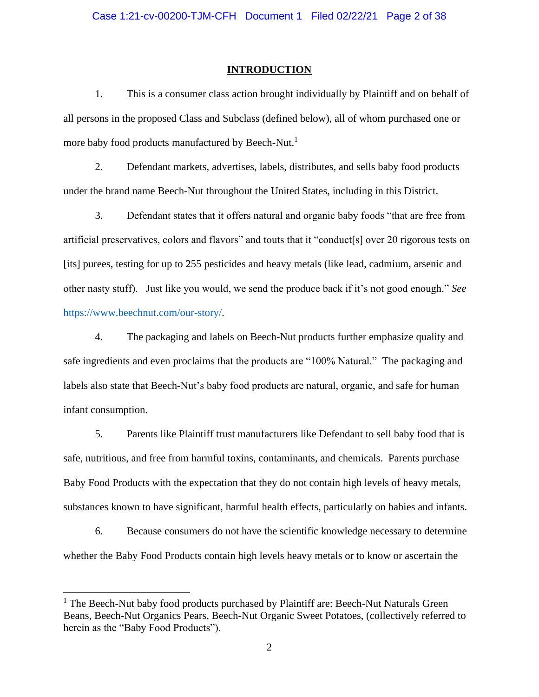## **INTRODUCTION**

1. This is a consumer class action brought individually by Plaintiff and on behalf of all persons in the proposed Class and Subclass (defined below), all of whom purchased one or more baby food products manufactured by Beech-Nut.<sup>1</sup>

2. Defendant markets, advertises, labels, distributes, and sells baby food products under the brand name Beech-Nut throughout the United States, including in this District.

3. Defendant states that it offers natural and organic baby foods "that are free from artificial preservatives, colors and flavors" and touts that it "conduct[s] over 20 rigorous tests on [its] purees, testing for up to 255 pesticides and heavy metals (like lead, cadmium, arsenic and other nasty stuff). Just like you would, we send the produce back if it's not good enough." *See*  https://www.beechnut.com/our-story/.

4. The packaging and labels on Beech-Nut products further emphasize quality and safe ingredients and even proclaims that the products are "100% Natural." The packaging and labels also state that Beech-Nut's baby food products are natural, organic, and safe for human infant consumption.

5. Parents like Plaintiff trust manufacturers like Defendant to sell baby food that is safe, nutritious, and free from harmful toxins, contaminants, and chemicals. Parents purchase Baby Food Products with the expectation that they do not contain high levels of heavy metals, substances known to have significant, harmful health effects, particularly on babies and infants.

6. Because consumers do not have the scientific knowledge necessary to determine whether the Baby Food Products contain high levels heavy metals or to know or ascertain the

 $<sup>1</sup>$  The Beech-Nut baby food products purchased by Plaintiff are: Beech-Nut Naturals Green</sup> Beans, Beech-Nut Organics Pears, Beech-Nut Organic Sweet Potatoes, (collectively referred to herein as the "Baby Food Products").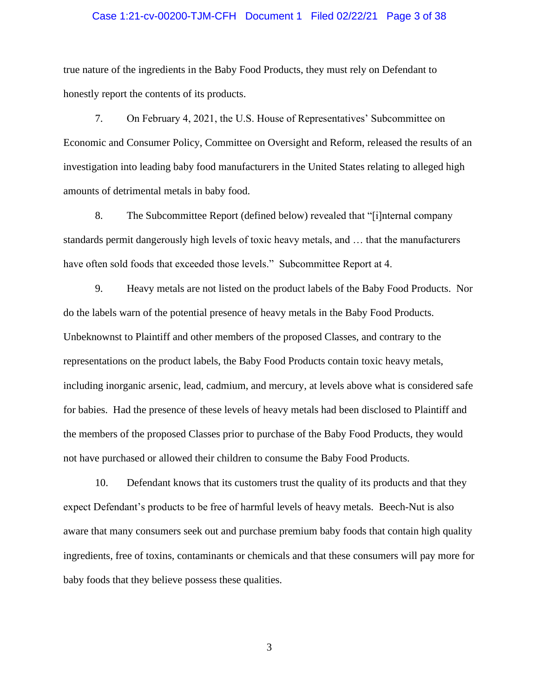## Case 1:21-cv-00200-TJM-CFH Document 1 Filed 02/22/21 Page 3 of 38

true nature of the ingredients in the Baby Food Products, they must rely on Defendant to honestly report the contents of its products.

7. On February 4, 2021, the U.S. House of Representatives' Subcommittee on Economic and Consumer Policy, Committee on Oversight and Reform, released the results of an investigation into leading baby food manufacturers in the United States relating to alleged high amounts of detrimental metals in baby food.

8. The Subcommittee Report (defined below) revealed that "[i]nternal company standards permit dangerously high levels of toxic heavy metals, and … that the manufacturers have often sold foods that exceeded those levels." Subcommittee Report at 4.

9. Heavy metals are not listed on the product labels of the Baby Food Products. Nor do the labels warn of the potential presence of heavy metals in the Baby Food Products. Unbeknownst to Plaintiff and other members of the proposed Classes, and contrary to the representations on the product labels, the Baby Food Products contain toxic heavy metals, including inorganic arsenic, lead, cadmium, and mercury, at levels above what is considered safe for babies. Had the presence of these levels of heavy metals had been disclosed to Plaintiff and the members of the proposed Classes prior to purchase of the Baby Food Products, they would not have purchased or allowed their children to consume the Baby Food Products.

10. Defendant knows that its customers trust the quality of its products and that they expect Defendant's products to be free of harmful levels of heavy metals. Beech-Nut is also aware that many consumers seek out and purchase premium baby foods that contain high quality ingredients, free of toxins, contaminants or chemicals and that these consumers will pay more for baby foods that they believe possess these qualities.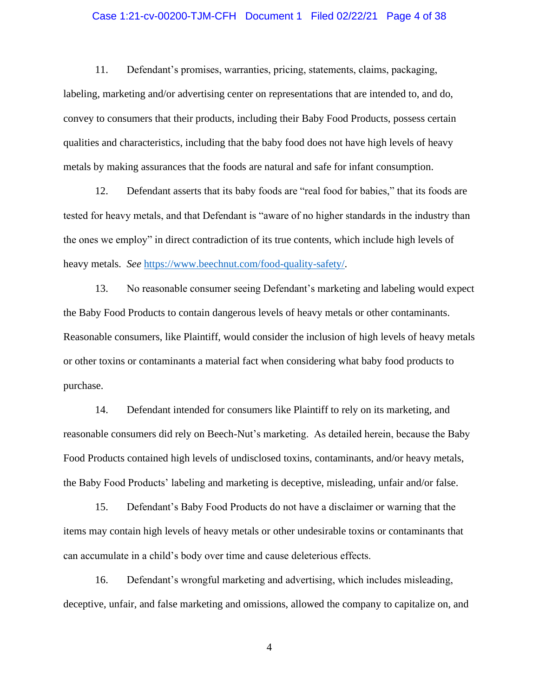# Case 1:21-cv-00200-TJM-CFH Document 1 Filed 02/22/21 Page 4 of 38

11. Defendant's promises, warranties, pricing, statements, claims, packaging, labeling, marketing and/or advertising center on representations that are intended to, and do, convey to consumers that their products, including their Baby Food Products, possess certain qualities and characteristics, including that the baby food does not have high levels of heavy metals by making assurances that the foods are natural and safe for infant consumption.

12. Defendant asserts that its baby foods are "real food for babies," that its foods are tested for heavy metals, and that Defendant is "aware of no higher standards in the industry than the ones we employ" in direct contradiction of its true contents, which include high levels of heavy metals. *See* https://www.beechnut.com/food-quality-safety/.

13. No reasonable consumer seeing Defendant's marketing and labeling would expect the Baby Food Products to contain dangerous levels of heavy metals or other contaminants. Reasonable consumers, like Plaintiff, would consider the inclusion of high levels of heavy metals or other toxins or contaminants a material fact when considering what baby food products to purchase.

14. Defendant intended for consumers like Plaintiff to rely on its marketing, and reasonable consumers did rely on Beech-Nut's marketing. As detailed herein, because the Baby Food Products contained high levels of undisclosed toxins, contaminants, and/or heavy metals, the Baby Food Products' labeling and marketing is deceptive, misleading, unfair and/or false.

15. Defendant's Baby Food Products do not have a disclaimer or warning that the items may contain high levels of heavy metals or other undesirable toxins or contaminants that can accumulate in a child's body over time and cause deleterious effects.

16. Defendant's wrongful marketing and advertising, which includes misleading, deceptive, unfair, and false marketing and omissions, allowed the company to capitalize on, and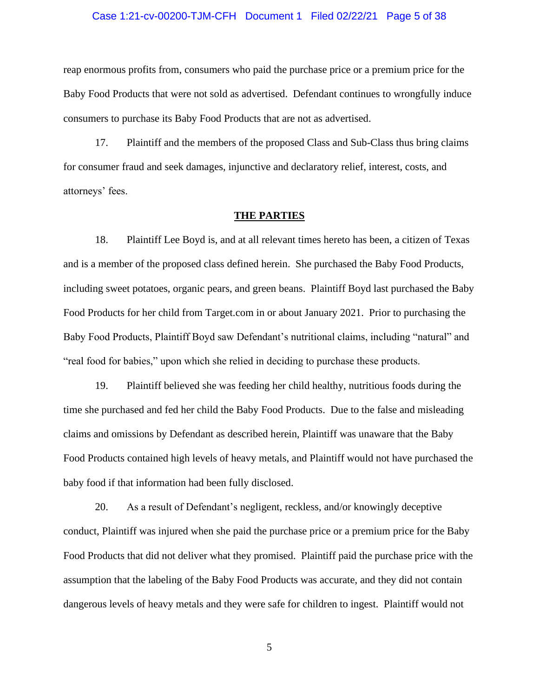#### Case 1:21-cv-00200-TJM-CFH Document 1 Filed 02/22/21 Page 5 of 38

reap enormous profits from, consumers who paid the purchase price or a premium price for the Baby Food Products that were not sold as advertised. Defendant continues to wrongfully induce consumers to purchase its Baby Food Products that are not as advertised.

17. Plaintiff and the members of the proposed Class and Sub-Class thus bring claims for consumer fraud and seek damages, injunctive and declaratory relief, interest, costs, and attorneys' fees.

#### **THE PARTIES**

18. Plaintiff Lee Boyd is, and at all relevant times hereto has been, a citizen of Texas and is a member of the proposed class defined herein. She purchased the Baby Food Products, including sweet potatoes, organic pears, and green beans. Plaintiff Boyd last purchased the Baby Food Products for her child from Target.com in or about January 2021. Prior to purchasing the Baby Food Products, Plaintiff Boyd saw Defendant's nutritional claims, including "natural" and "real food for babies," upon which she relied in deciding to purchase these products.

19. Plaintiff believed she was feeding her child healthy, nutritious foods during the time she purchased and fed her child the Baby Food Products. Due to the false and misleading claims and omissions by Defendant as described herein, Plaintiff was unaware that the Baby Food Products contained high levels of heavy metals, and Plaintiff would not have purchased the baby food if that information had been fully disclosed.

20. As a result of Defendant's negligent, reckless, and/or knowingly deceptive conduct, Plaintiff was injured when she paid the purchase price or a premium price for the Baby Food Products that did not deliver what they promised. Plaintiff paid the purchase price with the assumption that the labeling of the Baby Food Products was accurate, and they did not contain dangerous levels of heavy metals and they were safe for children to ingest. Plaintiff would not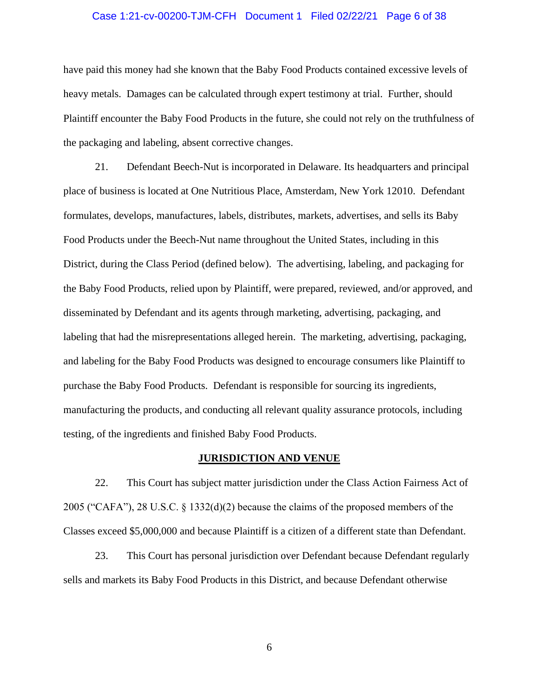#### Case 1:21-cv-00200-TJM-CFH Document 1 Filed 02/22/21 Page 6 of 38

have paid this money had she known that the Baby Food Products contained excessive levels of heavy metals. Damages can be calculated through expert testimony at trial. Further, should Plaintiff encounter the Baby Food Products in the future, she could not rely on the truthfulness of the packaging and labeling, absent corrective changes.

21. Defendant Beech-Nut is incorporated in Delaware. Its headquarters and principal place of business is located at One Nutritious Place, Amsterdam, New York 12010. Defendant formulates, develops, manufactures, labels, distributes, markets, advertises, and sells its Baby Food Products under the Beech-Nut name throughout the United States, including in this District, during the Class Period (defined below). The advertising, labeling, and packaging for the Baby Food Products, relied upon by Plaintiff, were prepared, reviewed, and/or approved, and disseminated by Defendant and its agents through marketing, advertising, packaging, and labeling that had the misrepresentations alleged herein. The marketing, advertising, packaging, and labeling for the Baby Food Products was designed to encourage consumers like Plaintiff to purchase the Baby Food Products. Defendant is responsible for sourcing its ingredients, manufacturing the products, and conducting all relevant quality assurance protocols, including testing, of the ingredients and finished Baby Food Products.

# **JURISDICTION AND VENUE**

22. This Court has subject matter jurisdiction under the Class Action Fairness Act of 2005 ("CAFA"), 28 U.S.C.  $\S$  1332(d)(2) because the claims of the proposed members of the Classes exceed \$5,000,000 and because Plaintiff is a citizen of a different state than Defendant.

23. This Court has personal jurisdiction over Defendant because Defendant regularly sells and markets its Baby Food Products in this District, and because Defendant otherwise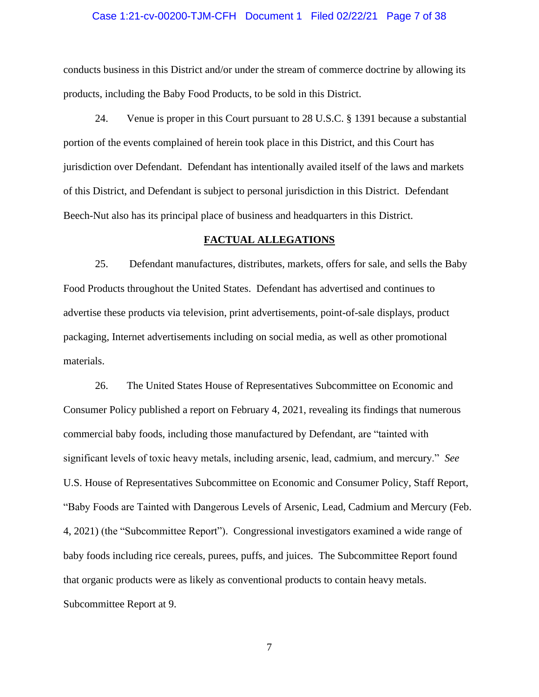## Case 1:21-cv-00200-TJM-CFH Document 1 Filed 02/22/21 Page 7 of 38

conducts business in this District and/or under the stream of commerce doctrine by allowing its products, including the Baby Food Products, to be sold in this District.

24. Venue is proper in this Court pursuant to 28 U.S.C. § 1391 because a substantial portion of the events complained of herein took place in this District, and this Court has jurisdiction over Defendant. Defendant has intentionally availed itself of the laws and markets of this District, and Defendant is subject to personal jurisdiction in this District. Defendant Beech-Nut also has its principal place of business and headquarters in this District.

# **FACTUAL ALLEGATIONS**

25. Defendant manufactures, distributes, markets, offers for sale, and sells the Baby Food Products throughout the United States. Defendant has advertised and continues to advertise these products via television, print advertisements, point-of-sale displays, product packaging, Internet advertisements including on social media, as well as other promotional materials.

26. The United States House of Representatives Subcommittee on Economic and Consumer Policy published a report on February 4, 2021, revealing its findings that numerous commercial baby foods, including those manufactured by Defendant, are "tainted with significant levels of toxic heavy metals, including arsenic, lead, cadmium, and mercury." *See*  U.S. House of Representatives Subcommittee on Economic and Consumer Policy, Staff Report, "Baby Foods are Tainted with Dangerous Levels of Arsenic, Lead, Cadmium and Mercury (Feb. 4, 2021) (the "Subcommittee Report"). Congressional investigators examined a wide range of baby foods including rice cereals, purees, puffs, and juices. The Subcommittee Report found that organic products were as likely as conventional products to contain heavy metals. Subcommittee Report at 9.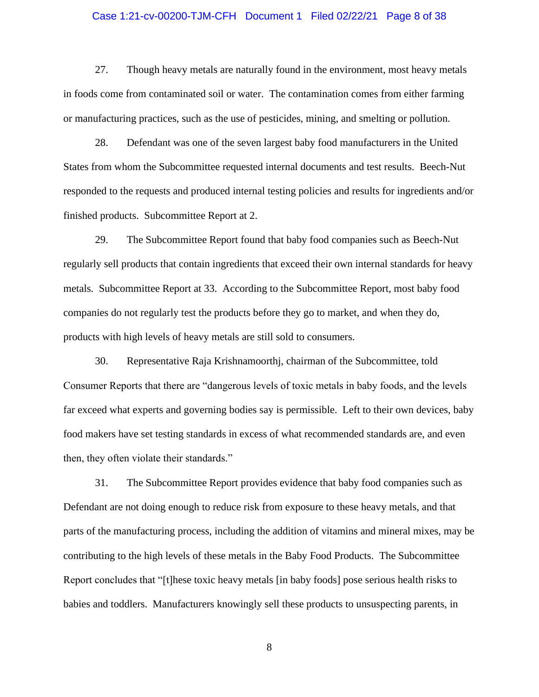# Case 1:21-cv-00200-TJM-CFH Document 1 Filed 02/22/21 Page 8 of 38

27. Though heavy metals are naturally found in the environment, most heavy metals in foods come from contaminated soil or water. The contamination comes from either farming or manufacturing practices, such as the use of pesticides, mining, and smelting or pollution.

28. Defendant was one of the seven largest baby food manufacturers in the United States from whom the Subcommittee requested internal documents and test results. Beech-Nut responded to the requests and produced internal testing policies and results for ingredients and/or finished products. Subcommittee Report at 2.

29. The Subcommittee Report found that baby food companies such as Beech-Nut regularly sell products that contain ingredients that exceed their own internal standards for heavy metals. Subcommittee Report at 33. According to the Subcommittee Report, most baby food companies do not regularly test the products before they go to market, and when they do, products with high levels of heavy metals are still sold to consumers.

30. Representative Raja Krishnamoorthj, chairman of the Subcommittee, told Consumer Reports that there are "dangerous levels of toxic metals in baby foods, and the levels far exceed what experts and governing bodies say is permissible. Left to their own devices, baby food makers have set testing standards in excess of what recommended standards are, and even then, they often violate their standards."

31. The Subcommittee Report provides evidence that baby food companies such as Defendant are not doing enough to reduce risk from exposure to these heavy metals, and that parts of the manufacturing process, including the addition of vitamins and mineral mixes, may be contributing to the high levels of these metals in the Baby Food Products. The Subcommittee Report concludes that "[t]hese toxic heavy metals [in baby foods] pose serious health risks to babies and toddlers. Manufacturers knowingly sell these products to unsuspecting parents, in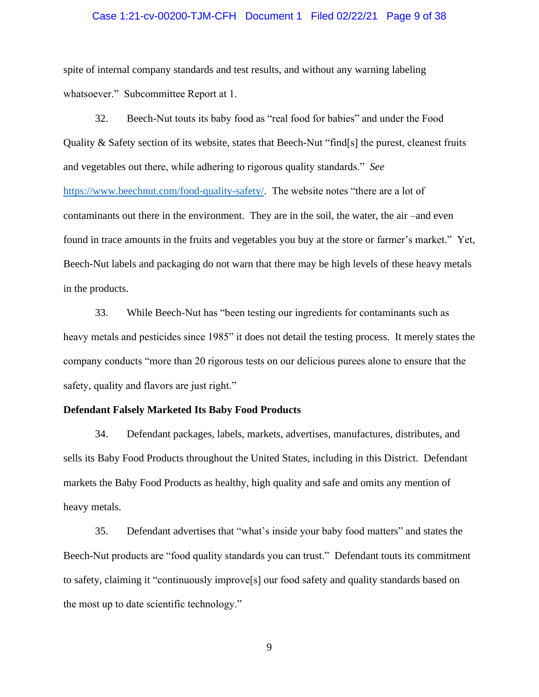# Case 1:21-cv-00200-TJM-CFH Document 1 Filed 02/22/21 Page 9 of 38

spite of internal company standards and test results, and without any warning labeling whatsoever." Subcommittee Report at 1.

32. Beech-Nut touts its baby food as "real food for babies" and under the Food Quality & Safety section of its website, states that Beech-Nut "find[s] the purest, cleanest fruits and vegetables out there, while adhering to rigorous quality standards." *See*  https://www.beechnut.com/food-quality-safety/.The website notes "there are a lot of contaminants out there in the environment. They are in the soil, the water, the air –and even found in trace amounts in the fruits and vegetables you buy at the store or farmer's market." Yet, Beech-Nut labels and packaging do not warn that there may be high levels of these heavy metals in the products.

33. While Beech-Nut has "been testing our ingredients for contaminants such as heavy metals and pesticides since 1985" it does not detail the testing process. It merely states the company conducts "more than 20 rigorous tests on our delicious purees alone to ensure that the safety, quality and flavors are just right."

# **Defendant Falsely Marketed Its Baby Food Products**

34. Defendant packages, labels, markets, advertises, manufactures, distributes, and sells its Baby Food Products throughout the United States, including in this District. Defendant markets the Baby Food Products as healthy, high quality and safe and omits any mention of heavy metals.

35. Defendant advertises that "what's inside your baby food matters" and states the Beech-Nut products are "food quality standards you can trust." Defendant touts its commitment to safety, claiming it "continuously improve[s] our food safety and quality standards based on the most up to date scientific technology."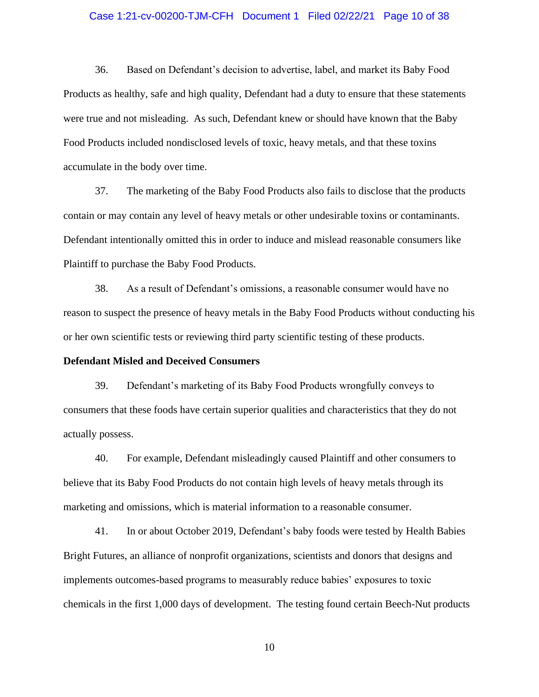# Case 1:21-cv-00200-TJM-CFH Document 1 Filed 02/22/21 Page 10 of 38

36. Based on Defendant's decision to advertise, label, and market its Baby Food Products as healthy, safe and high quality, Defendant had a duty to ensure that these statements were true and not misleading. As such, Defendant knew or should have known that the Baby Food Products included nondisclosed levels of toxic, heavy metals, and that these toxins accumulate in the body over time.

37. The marketing of the Baby Food Products also fails to disclose that the products contain or may contain any level of heavy metals or other undesirable toxins or contaminants. Defendant intentionally omitted this in order to induce and mislead reasonable consumers like Plaintiff to purchase the Baby Food Products.

38. As a result of Defendant's omissions, a reasonable consumer would have no reason to suspect the presence of heavy metals in the Baby Food Products without conducting his or her own scientific tests or reviewing third party scientific testing of these products.

## **Defendant Misled and Deceived Consumers**

39. Defendant's marketing of its Baby Food Products wrongfully conveys to consumers that these foods have certain superior qualities and characteristics that they do not actually possess.

40. For example, Defendant misleadingly caused Plaintiff and other consumers to believe that its Baby Food Products do not contain high levels of heavy metals through its marketing and omissions, which is material information to a reasonable consumer.

41. In or about October 2019, Defendant's baby foods were tested by Health Babies Bright Futures, an alliance of nonprofit organizations, scientists and donors that designs and implements outcomes-based programs to measurably reduce babies' exposures to toxic chemicals in the first 1,000 days of development. The testing found certain Beech-Nut products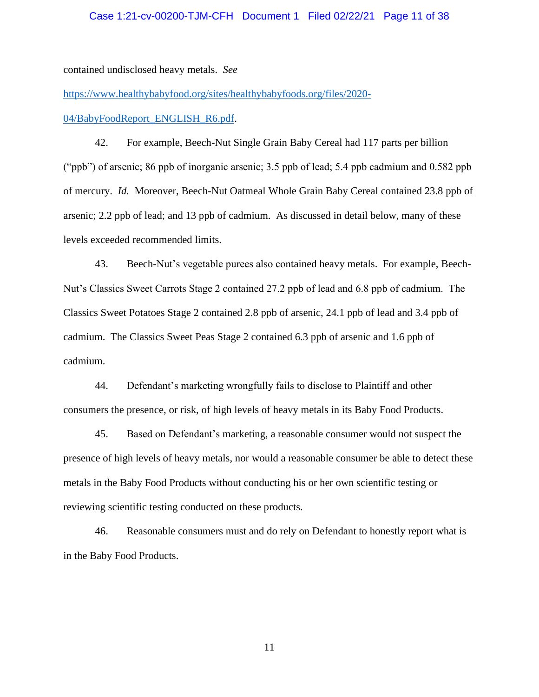# Case 1:21-cv-00200-TJM-CFH Document 1 Filed 02/22/21 Page 11 of 38

contained undisclosed heavy metals. *See* 

https://www.healthybabyfood.org/sites/healthybabyfoods.org/files/2020-

04/BabyFoodReport\_ENGLISH\_R6.pdf.

42. For example, Beech-Nut Single Grain Baby Cereal had 117 parts per billion ("ppb") of arsenic; 86 ppb of inorganic arsenic; 3.5 ppb of lead; 5.4 ppb cadmium and 0.582 ppb of mercury. *Id.* Moreover, Beech-Nut Oatmeal Whole Grain Baby Cereal contained 23.8 ppb of arsenic; 2.2 ppb of lead; and 13 ppb of cadmium. As discussed in detail below, many of these levels exceeded recommended limits.

43. Beech-Nut's vegetable purees also contained heavy metals. For example, Beech-Nut's Classics Sweet Carrots Stage 2 contained 27.2 ppb of lead and 6.8 ppb of cadmium. The Classics Sweet Potatoes Stage 2 contained 2.8 ppb of arsenic, 24.1 ppb of lead and 3.4 ppb of cadmium. The Classics Sweet Peas Stage 2 contained 6.3 ppb of arsenic and 1.6 ppb of cadmium.

44. Defendant's marketing wrongfully fails to disclose to Plaintiff and other consumers the presence, or risk, of high levels of heavy metals in its Baby Food Products.

45. Based on Defendant's marketing, a reasonable consumer would not suspect the presence of high levels of heavy metals, nor would a reasonable consumer be able to detect these metals in the Baby Food Products without conducting his or her own scientific testing or reviewing scientific testing conducted on these products.

46. Reasonable consumers must and do rely on Defendant to honestly report what is in the Baby Food Products.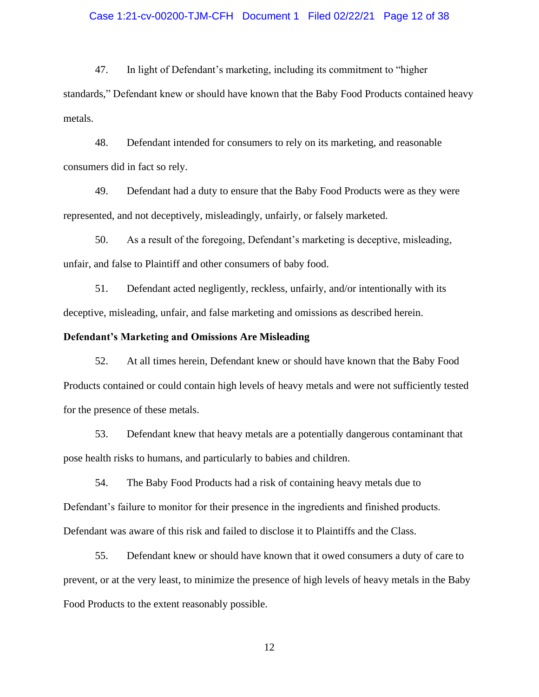# Case 1:21-cv-00200-TJM-CFH Document 1 Filed 02/22/21 Page 12 of 38

47. In light of Defendant's marketing, including its commitment to "higher standards," Defendant knew or should have known that the Baby Food Products contained heavy metals.

48. Defendant intended for consumers to rely on its marketing, and reasonable consumers did in fact so rely.

49. Defendant had a duty to ensure that the Baby Food Products were as they were represented, and not deceptively, misleadingly, unfairly, or falsely marketed.

50. As a result of the foregoing, Defendant's marketing is deceptive, misleading, unfair, and false to Plaintiff and other consumers of baby food.

51. Defendant acted negligently, reckless, unfairly, and/or intentionally with its deceptive, misleading, unfair, and false marketing and omissions as described herein.

# **Defendant's Marketing and Omissions Are Misleading**

52. At all times herein, Defendant knew or should have known that the Baby Food Products contained or could contain high levels of heavy metals and were not sufficiently tested for the presence of these metals.

53. Defendant knew that heavy metals are a potentially dangerous contaminant that pose health risks to humans, and particularly to babies and children.

54. The Baby Food Products had a risk of containing heavy metals due to Defendant's failure to monitor for their presence in the ingredients and finished products. Defendant was aware of this risk and failed to disclose it to Plaintiffs and the Class.

55. Defendant knew or should have known that it owed consumers a duty of care to prevent, or at the very least, to minimize the presence of high levels of heavy metals in the Baby Food Products to the extent reasonably possible.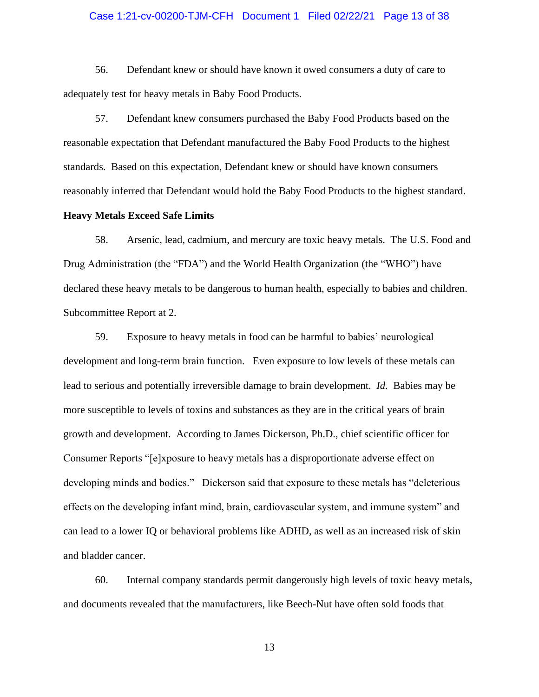# Case 1:21-cv-00200-TJM-CFH Document 1 Filed 02/22/21 Page 13 of 38

56. Defendant knew or should have known it owed consumers a duty of care to adequately test for heavy metals in Baby Food Products.

57. Defendant knew consumers purchased the Baby Food Products based on the reasonable expectation that Defendant manufactured the Baby Food Products to the highest standards. Based on this expectation, Defendant knew or should have known consumers reasonably inferred that Defendant would hold the Baby Food Products to the highest standard.

## **Heavy Metals Exceed Safe Limits**

58. Arsenic, lead, cadmium, and mercury are toxic heavy metals. The U.S. Food and Drug Administration (the "FDA") and the World Health Organization (the "WHO") have declared these heavy metals to be dangerous to human health, especially to babies and children. Subcommittee Report at 2.

59. Exposure to heavy metals in food can be harmful to babies' neurological development and long-term brain function. Even exposure to low levels of these metals can lead to serious and potentially irreversible damage to brain development. *Id.* Babies may be more susceptible to levels of toxins and substances as they are in the critical years of brain growth and development. According to James Dickerson, Ph.D., chief scientific officer for Consumer Reports "[e]xposure to heavy metals has a disproportionate adverse effect on developing minds and bodies." Dickerson said that exposure to these metals has "deleterious effects on the developing infant mind, brain, cardiovascular system, and immune system" and can lead to a lower IQ or behavioral problems like ADHD, as well as an increased risk of skin and bladder cancer.

60. Internal company standards permit dangerously high levels of toxic heavy metals, and documents revealed that the manufacturers, like Beech-Nut have often sold foods that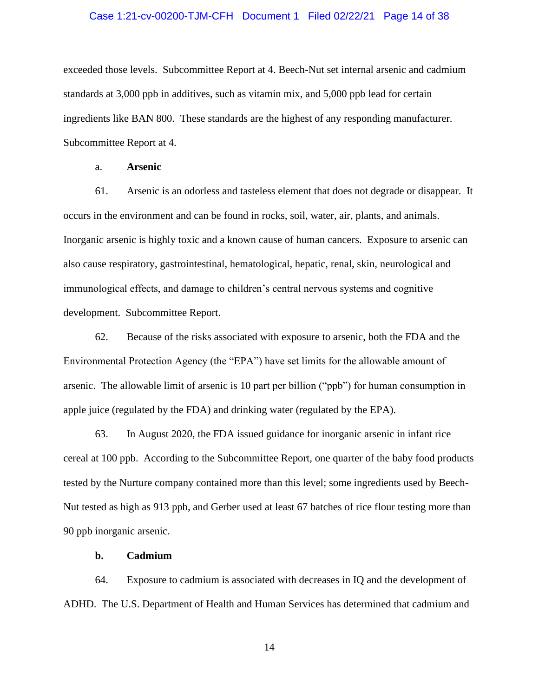# Case 1:21-cv-00200-TJM-CFH Document 1 Filed 02/22/21 Page 14 of 38

exceeded those levels. Subcommittee Report at 4. Beech-Nut set internal arsenic and cadmium standards at 3,000 ppb in additives, such as vitamin mix, and 5,000 ppb lead for certain ingredients like BAN 800. These standards are the highest of any responding manufacturer. Subcommittee Report at 4.

# a. **Arsenic**

61. Arsenic is an odorless and tasteless element that does not degrade or disappear. It occurs in the environment and can be found in rocks, soil, water, air, plants, and animals. Inorganic arsenic is highly toxic and a known cause of human cancers. Exposure to arsenic can also cause respiratory, gastrointestinal, hematological, hepatic, renal, skin, neurological and immunological effects, and damage to children's central nervous systems and cognitive development. Subcommittee Report.

62. Because of the risks associated with exposure to arsenic, both the FDA and the Environmental Protection Agency (the "EPA") have set limits for the allowable amount of arsenic. The allowable limit of arsenic is 10 part per billion ("ppb") for human consumption in apple juice (regulated by the FDA) and drinking water (regulated by the EPA).

63. In August 2020, the FDA issued guidance for inorganic arsenic in infant rice cereal at 100 ppb. According to the Subcommittee Report, one quarter of the baby food products tested by the Nurture company contained more than this level; some ingredients used by Beech-Nut tested as high as 913 ppb, and Gerber used at least 67 batches of rice flour testing more than 90 ppb inorganic arsenic.

#### **b. Cadmium**

64. Exposure to cadmium is associated with decreases in IQ and the development of ADHD. The U.S. Department of Health and Human Services has determined that cadmium and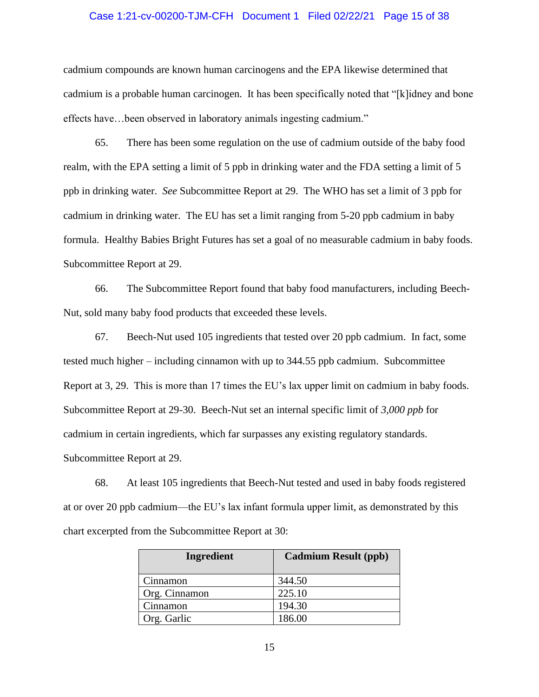# Case 1:21-cv-00200-TJM-CFH Document 1 Filed 02/22/21 Page 15 of 38

cadmium compounds are known human carcinogens and the EPA likewise determined that cadmium is a probable human carcinogen. It has been specifically noted that "[k]idney and bone effects have…been observed in laboratory animals ingesting cadmium."

65. There has been some regulation on the use of cadmium outside of the baby food realm, with the EPA setting a limit of 5 ppb in drinking water and the FDA setting a limit of 5 ppb in drinking water. *See* Subcommittee Report at 29. The WHO has set a limit of 3 ppb for cadmium in drinking water. The EU has set a limit ranging from 5-20 ppb cadmium in baby formula. Healthy Babies Bright Futures has set a goal of no measurable cadmium in baby foods. Subcommittee Report at 29.

66. The Subcommittee Report found that baby food manufacturers, including Beech-Nut, sold many baby food products that exceeded these levels.

67. Beech-Nut used 105 ingredients that tested over 20 ppb cadmium. In fact, some tested much higher – including cinnamon with up to 344.55 ppb cadmium. Subcommittee Report at 3, 29. This is more than 17 times the EU's lax upper limit on cadmium in baby foods. Subcommittee Report at 29-30. Beech-Nut set an internal specific limit of *3,000 ppb* for cadmium in certain ingredients, which far surpasses any existing regulatory standards. Subcommittee Report at 29.

68. At least 105 ingredients that Beech-Nut tested and used in baby foods registered at or over 20 ppb cadmium—the EU's lax infant formula upper limit, as demonstrated by this chart excerpted from the Subcommittee Report at 30:

| Ingredient    | <b>Cadmium Result (ppb)</b> |
|---------------|-----------------------------|
| Cinnamon      | 344.50                      |
| Org. Cinnamon | 225.10                      |
| Cinnamon      | 194.30                      |
| Org. Garlic   | 186.00                      |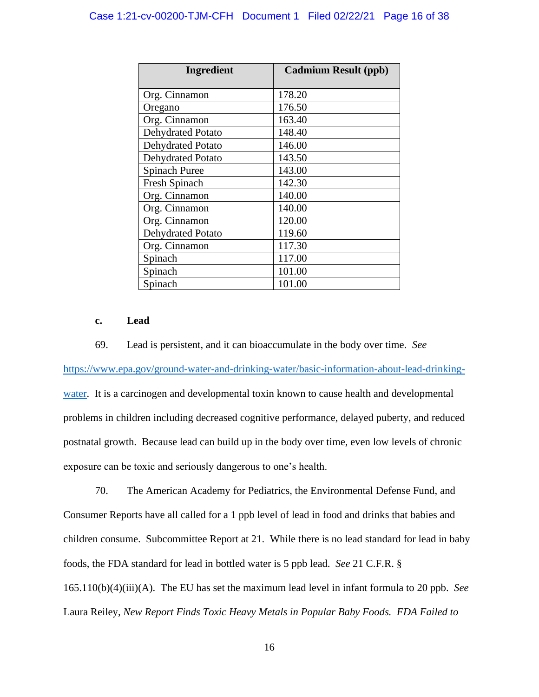| Ingredient               | <b>Cadmium Result (ppb)</b> |
|--------------------------|-----------------------------|
| Org. Cinnamon            | 178.20                      |
| Oregano                  | 176.50                      |
| Org. Cinnamon            | 163.40                      |
| <b>Dehydrated Potato</b> | 148.40                      |
| <b>Dehydrated Potato</b> | 146.00                      |
| <b>Dehydrated Potato</b> | 143.50                      |
| <b>Spinach Puree</b>     | 143.00                      |
| Fresh Spinach            | 142.30                      |
| Org. Cinnamon            | 140.00                      |
| Org. Cinnamon            | 140.00                      |
| Org. Cinnamon            | 120.00                      |
| <b>Dehydrated Potato</b> | 119.60                      |
| Org. Cinnamon            | 117.30                      |
| Spinach                  | 117.00                      |
| Spinach                  | 101.00                      |
| Spinach                  | 101.00                      |

# **c. Lead**

69. Lead is persistent, and it can bioaccumulate in the body over time. *See* 

https://www.epa.gov/ground-water-and-drinking-water/basic-information-about-lead-drinkingwater. It is a carcinogen and developmental toxin known to cause health and developmental problems in children including decreased cognitive performance, delayed puberty, and reduced postnatal growth. Because lead can build up in the body over time, even low levels of chronic exposure can be toxic and seriously dangerous to one's health.

70. The American Academy for Pediatrics, the Environmental Defense Fund, and Consumer Reports have all called for a 1 ppb level of lead in food and drinks that babies and children consume. Subcommittee Report at 21. While there is no lead standard for lead in baby foods, the FDA standard for lead in bottled water is 5 ppb lead. *See* 21 C.F.R. § 165.110(b)(4)(iii)(A). The EU has set the maximum lead level in infant formula to 20 ppb. *See*  Laura Reiley, *New Report Finds Toxic Heavy Metals in Popular Baby Foods. FDA Failed to*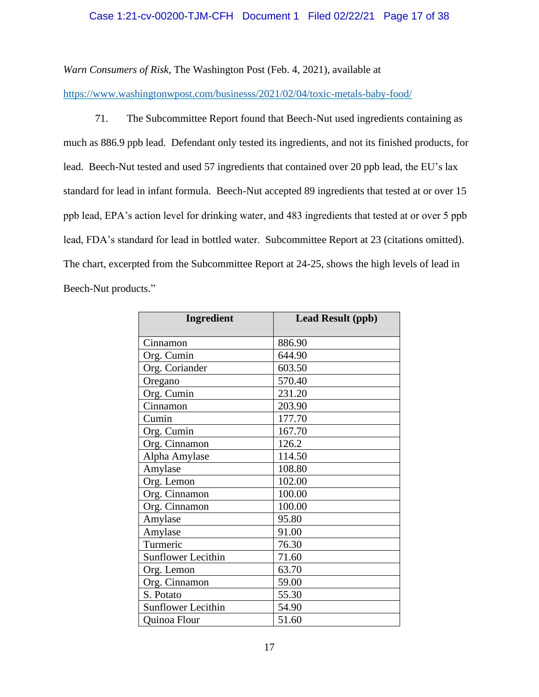# Case 1:21-cv-00200-TJM-CFH Document 1 Filed 02/22/21 Page 17 of 38

*Warn Consumers of Risk,* The Washington Post (Feb. 4, 2021), available at

https://www.washingtonwpost.com/businesss/2021/02/04/toxic-metals-baby-food/

71. The Subcommittee Report found that Beech-Nut used ingredients containing as much as 886.9 ppb lead. Defendant only tested its ingredients, and not its finished products, for lead. Beech-Nut tested and used 57 ingredients that contained over 20 ppb lead, the EU's lax standard for lead in infant formula. Beech-Nut accepted 89 ingredients that tested at or over 15 ppb lead, EPA's action level for drinking water, and 483 ingredients that tested at or over 5 ppb lead, FDA's standard for lead in bottled water. Subcommittee Report at 23 (citations omitted). The chart, excerpted from the Subcommittee Report at 24-25, shows the high levels of lead in Beech-Nut products."

| <b>Ingredient</b>         | <b>Lead Result (ppb)</b> |
|---------------------------|--------------------------|
| Cinnamon                  | 886.90                   |
| Org. Cumin                | 644.90                   |
| Org. Coriander            | 603.50                   |
| Oregano                   | 570.40                   |
| Org. Cumin                | 231.20                   |
| Cinnamon                  | 203.90                   |
| Cumin                     | 177.70                   |
| Org. Cumin                | 167.70                   |
| Org. Cinnamon             | 126.2                    |
| Alpha Amylase             | 114.50                   |
| Amylase                   | 108.80                   |
| Org. Lemon                | 102.00                   |
| Org. Cinnamon             | 100.00                   |
| Org. Cinnamon             | 100.00                   |
| Amylase                   | 95.80                    |
| Amylase                   | 91.00                    |
| Turmeric                  | 76.30                    |
| <b>Sunflower Lecithin</b> | 71.60                    |
| Org. Lemon                | 63.70                    |
| Org. Cinnamon             | 59.00                    |
| S. Potato                 | 55.30                    |
| <b>Sunflower Lecithin</b> | 54.90                    |
| Quinoa Flour              | 51.60                    |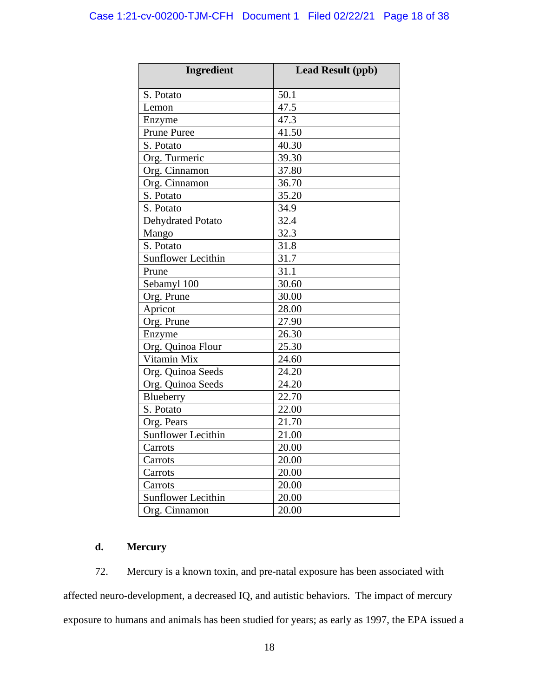| <b>Ingredient</b>         | <b>Lead Result (ppb)</b> |  |  |
|---------------------------|--------------------------|--|--|
| S. Potato                 | 50.1                     |  |  |
| Lemon                     | 47.5                     |  |  |
| Enzyme                    | 47.3                     |  |  |
| <b>Prune Puree</b>        | 41.50                    |  |  |
| S. Potato                 | 40.30                    |  |  |
| Org. Turmeric             | 39.30                    |  |  |
| Org. Cinnamon             | 37.80                    |  |  |
| Org. Cinnamon             | 36.70                    |  |  |
| S. Potato                 | 35.20                    |  |  |
| S. Potato                 | 34.9                     |  |  |
| Dehydrated Potato         | 32.4                     |  |  |
| Mango                     | 32.3                     |  |  |
| S. Potato                 | 31.8                     |  |  |
| <b>Sunflower Lecithin</b> | 31.7                     |  |  |
| Prune                     | 31.1                     |  |  |
| Sebamyl 100               | 30.60                    |  |  |
| Org. Prune                | 30.00                    |  |  |
| Apricot                   | 28.00                    |  |  |
| Org. Prune                | 27.90                    |  |  |
| Enzyme                    | 26.30                    |  |  |
| Org. Quinoa Flour         | 25.30                    |  |  |
| Vitamin Mix               | 24.60                    |  |  |
| Org. Quinoa Seeds         | 24.20                    |  |  |
| Org. Quinoa Seeds         | 24.20                    |  |  |
| Blueberry                 | 22.70                    |  |  |
| S. Potato                 | 22.00                    |  |  |
| Org. Pears                | 21.70                    |  |  |
| <b>Sunflower Lecithin</b> | 21.00                    |  |  |
| Carrots                   | 20.00                    |  |  |
| Carrots                   | 20.00                    |  |  |
| Carrots                   | 20.00                    |  |  |
| Carrots                   | 20.00                    |  |  |
| <b>Sunflower Lecithin</b> | 20.00                    |  |  |
| Org. Cinnamon             | 20.00                    |  |  |

# **d. Mercury**

72. Mercury is a known toxin, and pre-natal exposure has been associated with affected neuro-development, a decreased IQ, and autistic behaviors. The impact of mercury exposure to humans and animals has been studied for years; as early as 1997, the EPA issued a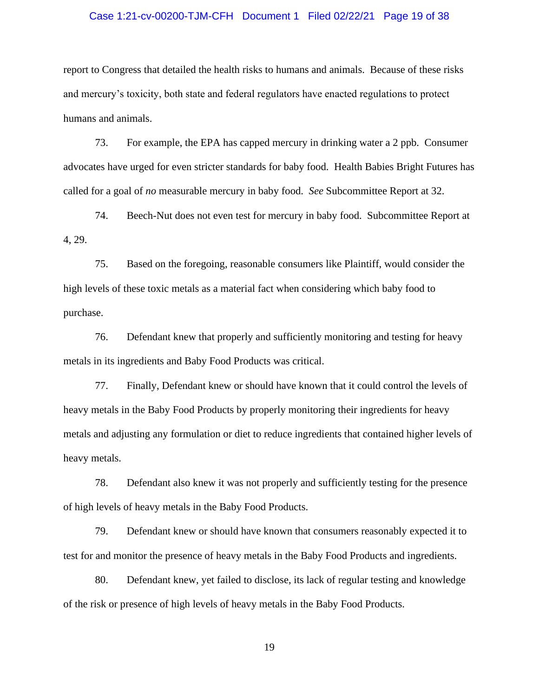# Case 1:21-cv-00200-TJM-CFH Document 1 Filed 02/22/21 Page 19 of 38

report to Congress that detailed the health risks to humans and animals. Because of these risks and mercury's toxicity, both state and federal regulators have enacted regulations to protect humans and animals.

73. For example, the EPA has capped mercury in drinking water a 2 ppb. Consumer advocates have urged for even stricter standards for baby food. Health Babies Bright Futures has called for a goal of *no* measurable mercury in baby food. *See* Subcommittee Report at 32.

74. Beech-Nut does not even test for mercury in baby food. Subcommittee Report at 4, 29.

75. Based on the foregoing, reasonable consumers like Plaintiff, would consider the high levels of these toxic metals as a material fact when considering which baby food to purchase.

76. Defendant knew that properly and sufficiently monitoring and testing for heavy metals in its ingredients and Baby Food Products was critical.

77. Finally, Defendant knew or should have known that it could control the levels of heavy metals in the Baby Food Products by properly monitoring their ingredients for heavy metals and adjusting any formulation or diet to reduce ingredients that contained higher levels of heavy metals.

78. Defendant also knew it was not properly and sufficiently testing for the presence of high levels of heavy metals in the Baby Food Products.

79. Defendant knew or should have known that consumers reasonably expected it to test for and monitor the presence of heavy metals in the Baby Food Products and ingredients.

80. Defendant knew, yet failed to disclose, its lack of regular testing and knowledge of the risk or presence of high levels of heavy metals in the Baby Food Products.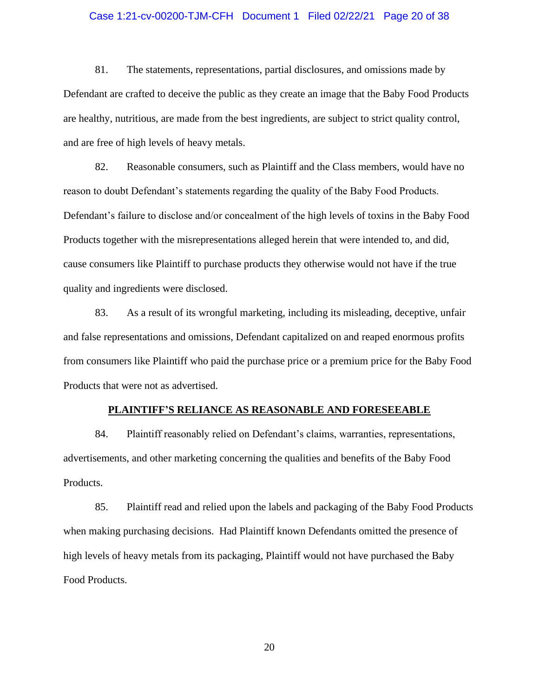# Case 1:21-cv-00200-TJM-CFH Document 1 Filed 02/22/21 Page 20 of 38

81. The statements, representations, partial disclosures, and omissions made by Defendant are crafted to deceive the public as they create an image that the Baby Food Products are healthy, nutritious, are made from the best ingredients, are subject to strict quality control, and are free of high levels of heavy metals.

82. Reasonable consumers, such as Plaintiff and the Class members, would have no reason to doubt Defendant's statements regarding the quality of the Baby Food Products. Defendant's failure to disclose and/or concealment of the high levels of toxins in the Baby Food Products together with the misrepresentations alleged herein that were intended to, and did, cause consumers like Plaintiff to purchase products they otherwise would not have if the true quality and ingredients were disclosed.

83. As a result of its wrongful marketing, including its misleading, deceptive, unfair and false representations and omissions, Defendant capitalized on and reaped enormous profits from consumers like Plaintiff who paid the purchase price or a premium price for the Baby Food Products that were not as advertised.

#### **PLAINTIFF'S RELIANCE AS REASONABLE AND FORESEEABLE**

84. Plaintiff reasonably relied on Defendant's claims, warranties, representations, advertisements, and other marketing concerning the qualities and benefits of the Baby Food Products.

85. Plaintiff read and relied upon the labels and packaging of the Baby Food Products when making purchasing decisions. Had Plaintiff known Defendants omitted the presence of high levels of heavy metals from its packaging, Plaintiff would not have purchased the Baby Food Products.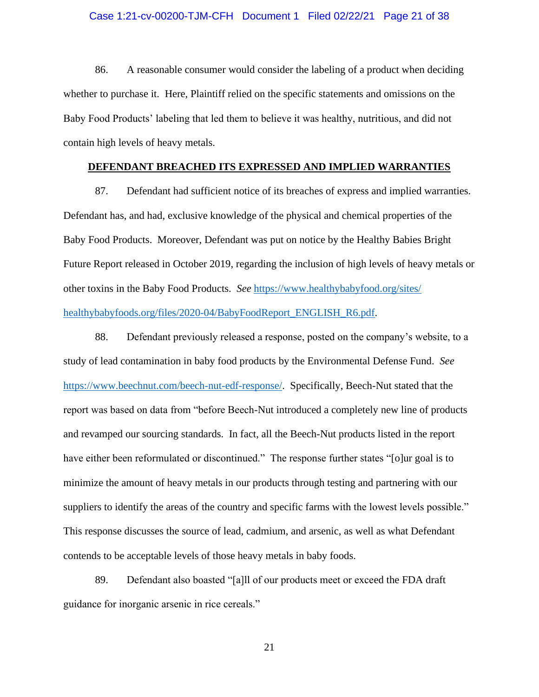# Case 1:21-cv-00200-TJM-CFH Document 1 Filed 02/22/21 Page 21 of 38

86. A reasonable consumer would consider the labeling of a product when deciding whether to purchase it. Here, Plaintiff relied on the specific statements and omissions on the Baby Food Products' labeling that led them to believe it was healthy, nutritious, and did not contain high levels of heavy metals.

# **DEFENDANT BREACHED ITS EXPRESSED AND IMPLIED WARRANTIES**

87. Defendant had sufficient notice of its breaches of express and implied warranties. Defendant has, and had, exclusive knowledge of the physical and chemical properties of the Baby Food Products. Moreover, Defendant was put on notice by the Healthy Babies Bright Future Report released in October 2019, regarding the inclusion of high levels of heavy metals or other toxins in the Baby Food Products. *See* https://www.healthybabyfood.org/sites/ healthybabyfoods.org/files/2020-04/BabyFoodReport\_ENGLISH\_R6.pdf.

88. Defendant previously released a response, posted on the company's website, to a study of lead contamination in baby food products by the Environmental Defense Fund. *See*  https://www.beechnut.com/beech-nut-edf-response/. Specifically, Beech-Nut stated that the report was based on data from "before Beech-Nut introduced a completely new line of products and revamped our sourcing standards. In fact, all the Beech-Nut products listed in the report have either been reformulated or discontinued." The response further states "[o]ur goal is to minimize the amount of heavy metals in our products through testing and partnering with our suppliers to identify the areas of the country and specific farms with the lowest levels possible." This response discusses the source of lead, cadmium, and arsenic, as well as what Defendant contends to be acceptable levels of those heavy metals in baby foods.

89. Defendant also boasted "[a]ll of our products meet or exceed the FDA draft guidance for inorganic arsenic in rice cereals."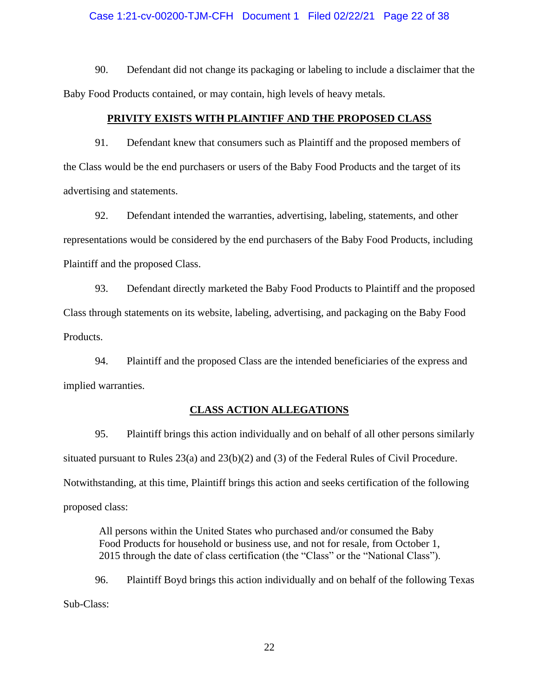# Case 1:21-cv-00200-TJM-CFH Document 1 Filed 02/22/21 Page 22 of 38

90. Defendant did not change its packaging or labeling to include a disclaimer that the Baby Food Products contained, or may contain, high levels of heavy metals.

#### **PRIVITY EXISTS WITH PLAINTIFF AND THE PROPOSED CLASS**

91. Defendant knew that consumers such as Plaintiff and the proposed members of the Class would be the end purchasers or users of the Baby Food Products and the target of its advertising and statements.

92. Defendant intended the warranties, advertising, labeling, statements, and other representations would be considered by the end purchasers of the Baby Food Products, including Plaintiff and the proposed Class.

93. Defendant directly marketed the Baby Food Products to Plaintiff and the proposed Class through statements on its website, labeling, advertising, and packaging on the Baby Food Products.

94. Plaintiff and the proposed Class are the intended beneficiaries of the express and implied warranties.

#### **CLASS ACTION ALLEGATIONS**

95. Plaintiff brings this action individually and on behalf of all other persons similarly situated pursuant to Rules 23(a) and 23(b)(2) and (3) of the Federal Rules of Civil Procedure. Notwithstanding, at this time, Plaintiff brings this action and seeks certification of the following proposed class:

All persons within the United States who purchased and/or consumed the Baby Food Products for household or business use, and not for resale, from October 1, 2015 through the date of class certification (the "Class" or the "National Class").

96. Plaintiff Boyd brings this action individually and on behalf of the following Texas Sub-Class: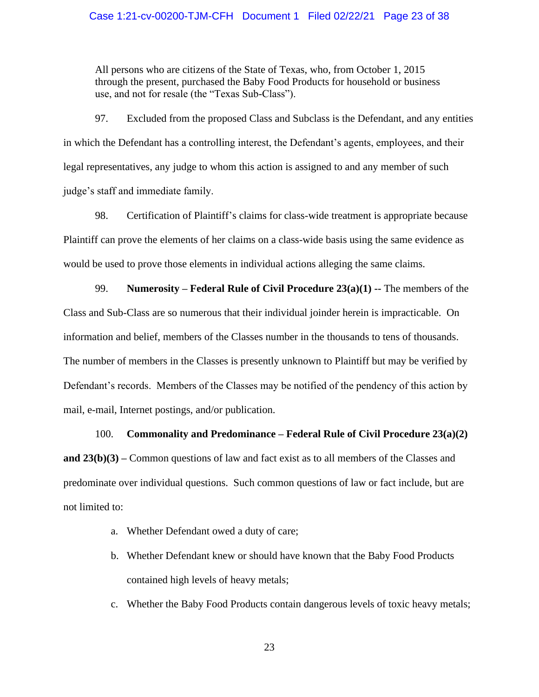# Case 1:21-cv-00200-TJM-CFH Document 1 Filed 02/22/21 Page 23 of 38

All persons who are citizens of the State of Texas, who, from October 1, 2015 through the present, purchased the Baby Food Products for household or business use, and not for resale (the "Texas Sub-Class").

97. Excluded from the proposed Class and Subclass is the Defendant, and any entities in which the Defendant has a controlling interest, the Defendant's agents, employees, and their legal representatives, any judge to whom this action is assigned to and any member of such judge's staff and immediate family.

98. Certification of Plaintiff's claims for class-wide treatment is appropriate because Plaintiff can prove the elements of her claims on a class-wide basis using the same evidence as would be used to prove those elements in individual actions alleging the same claims.

99. **Numerosity – Federal Rule of Civil Procedure 23(a)(1) --** The members of the Class and Sub-Class are so numerous that their individual joinder herein is impracticable. On information and belief, members of the Classes number in the thousands to tens of thousands. The number of members in the Classes is presently unknown to Plaintiff but may be verified by Defendant's records. Members of the Classes may be notified of the pendency of this action by mail, e-mail, Internet postings, and/or publication.

# 100. **Commonality and Predominance – Federal Rule of Civil Procedure 23(a)(2)**

**and 23(b)(3) –** Common questions of law and fact exist as to all members of the Classes and predominate over individual questions. Such common questions of law or fact include, but are not limited to:

- a. Whether Defendant owed a duty of care;
- b. Whether Defendant knew or should have known that the Baby Food Products contained high levels of heavy metals;
- c. Whether the Baby Food Products contain dangerous levels of toxic heavy metals;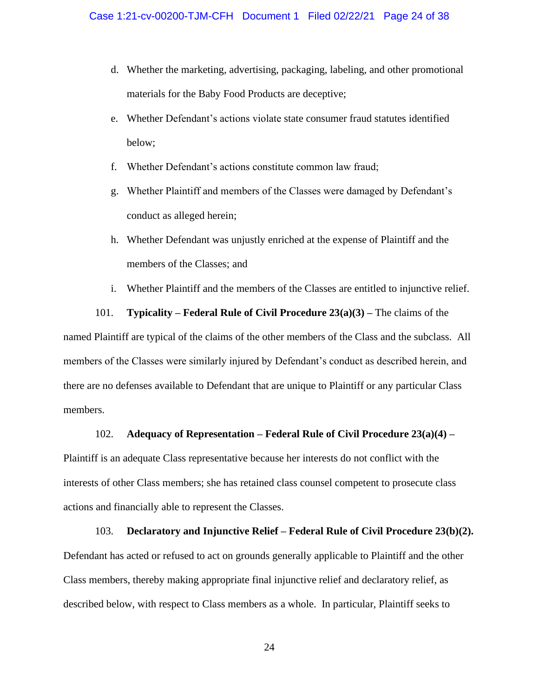- d. Whether the marketing, advertising, packaging, labeling, and other promotional materials for the Baby Food Products are deceptive;
- e. Whether Defendant's actions violate state consumer fraud statutes identified below;
- f. Whether Defendant's actions constitute common law fraud;
- g. Whether Plaintiff and members of the Classes were damaged by Defendant's conduct as alleged herein;
- h. Whether Defendant was unjustly enriched at the expense of Plaintiff and the members of the Classes; and
- i. Whether Plaintiff and the members of the Classes are entitled to injunctive relief.

101. **Typicality – Federal Rule of Civil Procedure 23(a)(3) –** The claims of the named Plaintiff are typical of the claims of the other members of the Class and the subclass. All members of the Classes were similarly injured by Defendant's conduct as described herein, and there are no defenses available to Defendant that are unique to Plaintiff or any particular Class members.

#### 102. **Adequacy of Representation – Federal Rule of Civil Procedure 23(a)(4) –**

Plaintiff is an adequate Class representative because her interests do not conflict with the interests of other Class members; she has retained class counsel competent to prosecute class actions and financially able to represent the Classes.

103. **Declaratory and Injunctive Relief – Federal Rule of Civil Procedure 23(b)(2).** Defendant has acted or refused to act on grounds generally applicable to Plaintiff and the other Class members, thereby making appropriate final injunctive relief and declaratory relief, as described below, with respect to Class members as a whole. In particular, Plaintiff seeks to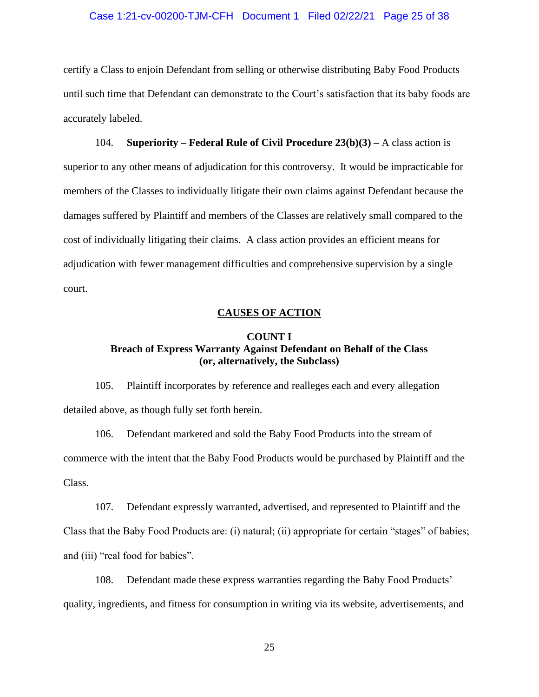# Case 1:21-cv-00200-TJM-CFH Document 1 Filed 02/22/21 Page 25 of 38

certify a Class to enjoin Defendant from selling or otherwise distributing Baby Food Products until such time that Defendant can demonstrate to the Court's satisfaction that its baby foods are accurately labeled.

104. **Superiority – Federal Rule of Civil Procedure 23(b)(3) –** A class action is superior to any other means of adjudication for this controversy. It would be impracticable for members of the Classes to individually litigate their own claims against Defendant because the damages suffered by Plaintiff and members of the Classes are relatively small compared to the cost of individually litigating their claims. A class action provides an efficient means for adjudication with fewer management difficulties and comprehensive supervision by a single court.

# **CAUSES OF ACTION**

# **COUNT I Breach of Express Warranty Against Defendant on Behalf of the Class (or, alternatively, the Subclass)**

105. Plaintiff incorporates by reference and realleges each and every allegation detailed above, as though fully set forth herein.

106. Defendant marketed and sold the Baby Food Products into the stream of commerce with the intent that the Baby Food Products would be purchased by Plaintiff and the Class.

107. Defendant expressly warranted, advertised, and represented to Plaintiff and the Class that the Baby Food Products are: (i) natural; (ii) appropriate for certain "stages" of babies; and (iii) "real food for babies".

108. Defendant made these express warranties regarding the Baby Food Products' quality, ingredients, and fitness for consumption in writing via its website, advertisements, and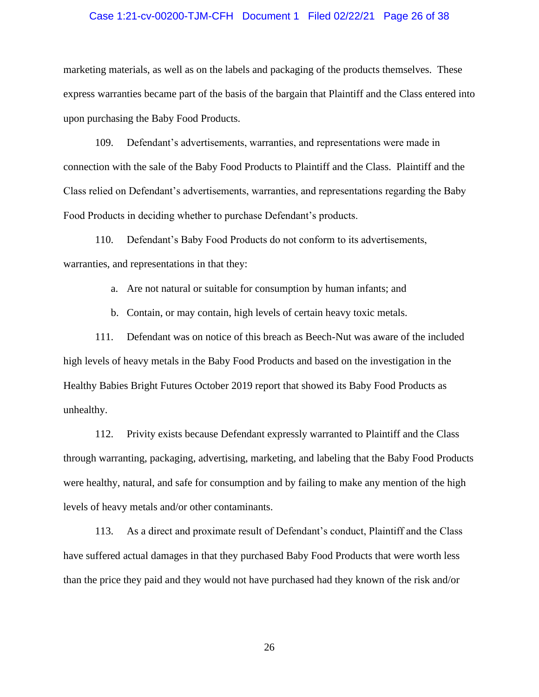# Case 1:21-cv-00200-TJM-CFH Document 1 Filed 02/22/21 Page 26 of 38

marketing materials, as well as on the labels and packaging of the products themselves. These express warranties became part of the basis of the bargain that Plaintiff and the Class entered into upon purchasing the Baby Food Products.

109. Defendant's advertisements, warranties, and representations were made in connection with the sale of the Baby Food Products to Plaintiff and the Class. Plaintiff and the Class relied on Defendant's advertisements, warranties, and representations regarding the Baby Food Products in deciding whether to purchase Defendant's products.

110. Defendant's Baby Food Products do not conform to its advertisements, warranties, and representations in that they:

a. Are not natural or suitable for consumption by human infants; and

b. Contain, or may contain, high levels of certain heavy toxic metals.

111. Defendant was on notice of this breach as Beech-Nut was aware of the included high levels of heavy metals in the Baby Food Products and based on the investigation in the Healthy Babies Bright Futures October 2019 report that showed its Baby Food Products as unhealthy.

112. Privity exists because Defendant expressly warranted to Plaintiff and the Class through warranting, packaging, advertising, marketing, and labeling that the Baby Food Products were healthy, natural, and safe for consumption and by failing to make any mention of the high levels of heavy metals and/or other contaminants.

113. As a direct and proximate result of Defendant's conduct, Plaintiff and the Class have suffered actual damages in that they purchased Baby Food Products that were worth less than the price they paid and they would not have purchased had they known of the risk and/or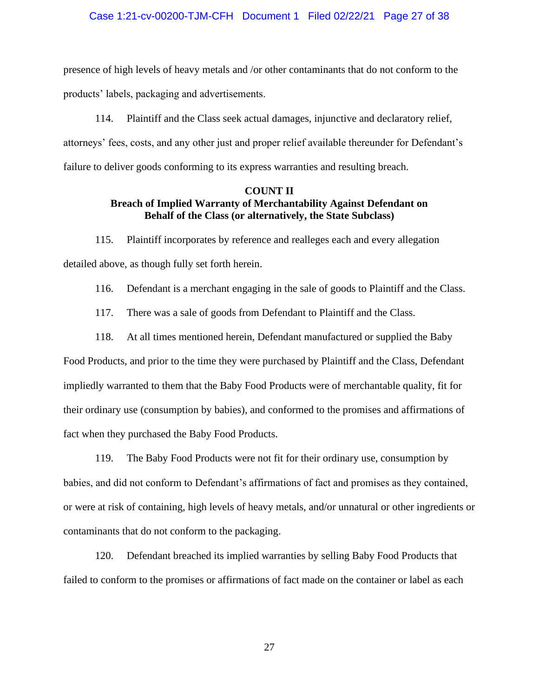# Case 1:21-cv-00200-TJM-CFH Document 1 Filed 02/22/21 Page 27 of 38

presence of high levels of heavy metals and /or other contaminants that do not conform to the products' labels, packaging and advertisements.

114. Plaintiff and the Class seek actual damages, injunctive and declaratory relief, attorneys' fees, costs, and any other just and proper relief available thereunder for Defendant's failure to deliver goods conforming to its express warranties and resulting breach.

# **COUNT II Breach of Implied Warranty of Merchantability Against Defendant on Behalf of the Class (or alternatively, the State Subclass)**

115. Plaintiff incorporates by reference and realleges each and every allegation detailed above, as though fully set forth herein.

116. Defendant is a merchant engaging in the sale of goods to Plaintiff and the Class.

117. There was a sale of goods from Defendant to Plaintiff and the Class.

118. At all times mentioned herein, Defendant manufactured or supplied the Baby

Food Products, and prior to the time they were purchased by Plaintiff and the Class, Defendant impliedly warranted to them that the Baby Food Products were of merchantable quality, fit for their ordinary use (consumption by babies), and conformed to the promises and affirmations of fact when they purchased the Baby Food Products.

119. The Baby Food Products were not fit for their ordinary use, consumption by babies, and did not conform to Defendant's affirmations of fact and promises as they contained, or were at risk of containing, high levels of heavy metals, and/or unnatural or other ingredients or contaminants that do not conform to the packaging.

120. Defendant breached its implied warranties by selling Baby Food Products that failed to conform to the promises or affirmations of fact made on the container or label as each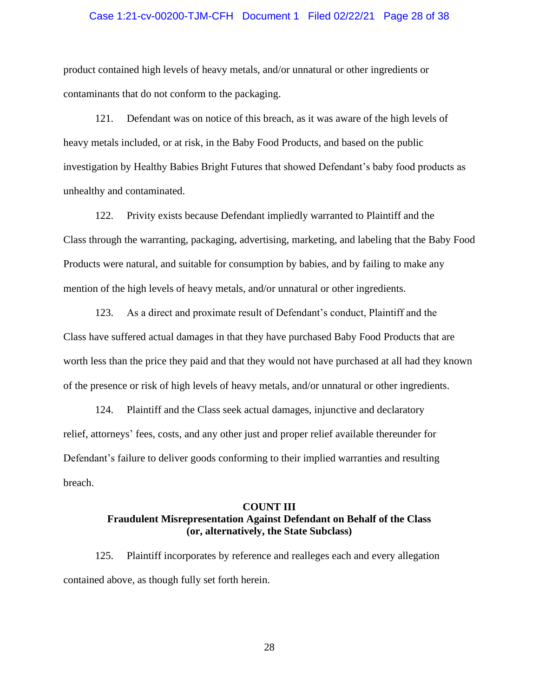# Case 1:21-cv-00200-TJM-CFH Document 1 Filed 02/22/21 Page 28 of 38

product contained high levels of heavy metals, and/or unnatural or other ingredients or contaminants that do not conform to the packaging.

121. Defendant was on notice of this breach, as it was aware of the high levels of heavy metals included, or at risk, in the Baby Food Products, and based on the public investigation by Healthy Babies Bright Futures that showed Defendant's baby food products as unhealthy and contaminated.

122. Privity exists because Defendant impliedly warranted to Plaintiff and the Class through the warranting, packaging, advertising, marketing, and labeling that the Baby Food Products were natural, and suitable for consumption by babies, and by failing to make any mention of the high levels of heavy metals, and/or unnatural or other ingredients.

123. As a direct and proximate result of Defendant's conduct, Plaintiff and the Class have suffered actual damages in that they have purchased Baby Food Products that are worth less than the price they paid and that they would not have purchased at all had they known of the presence or risk of high levels of heavy metals, and/or unnatural or other ingredients.

124. Plaintiff and the Class seek actual damages, injunctive and declaratory relief, attorneys' fees, costs, and any other just and proper relief available thereunder for Defendant's failure to deliver goods conforming to their implied warranties and resulting breach.

# **COUNT III Fraudulent Misrepresentation Against Defendant on Behalf of the Class (or, alternatively, the State Subclass)**

125. Plaintiff incorporates by reference and realleges each and every allegation contained above, as though fully set forth herein.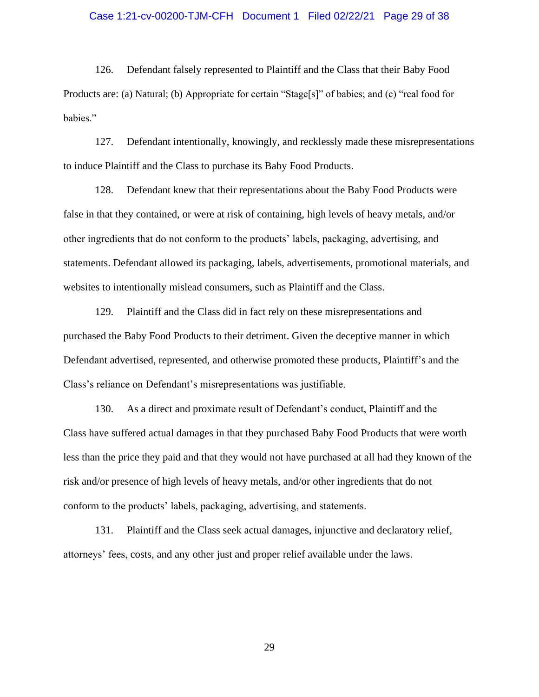# Case 1:21-cv-00200-TJM-CFH Document 1 Filed 02/22/21 Page 29 of 38

126. Defendant falsely represented to Plaintiff and the Class that their Baby Food Products are: (a) Natural; (b) Appropriate for certain "Stage[s]" of babies; and (c) "real food for babies."

127. Defendant intentionally, knowingly, and recklessly made these misrepresentations to induce Plaintiff and the Class to purchase its Baby Food Products.

128. Defendant knew that their representations about the Baby Food Products were false in that they contained, or were at risk of containing, high levels of heavy metals, and/or other ingredients that do not conform to the products' labels, packaging, advertising, and statements. Defendant allowed its packaging, labels, advertisements, promotional materials, and websites to intentionally mislead consumers, such as Plaintiff and the Class.

129. Plaintiff and the Class did in fact rely on these misrepresentations and purchased the Baby Food Products to their detriment. Given the deceptive manner in which Defendant advertised, represented, and otherwise promoted these products, Plaintiff's and the Class's reliance on Defendant's misrepresentations was justifiable.

130. As a direct and proximate result of Defendant's conduct, Plaintiff and the Class have suffered actual damages in that they purchased Baby Food Products that were worth less than the price they paid and that they would not have purchased at all had they known of the risk and/or presence of high levels of heavy metals, and/or other ingredients that do not conform to the products' labels, packaging, advertising, and statements.

131. Plaintiff and the Class seek actual damages, injunctive and declaratory relief, attorneys' fees, costs, and any other just and proper relief available under the laws.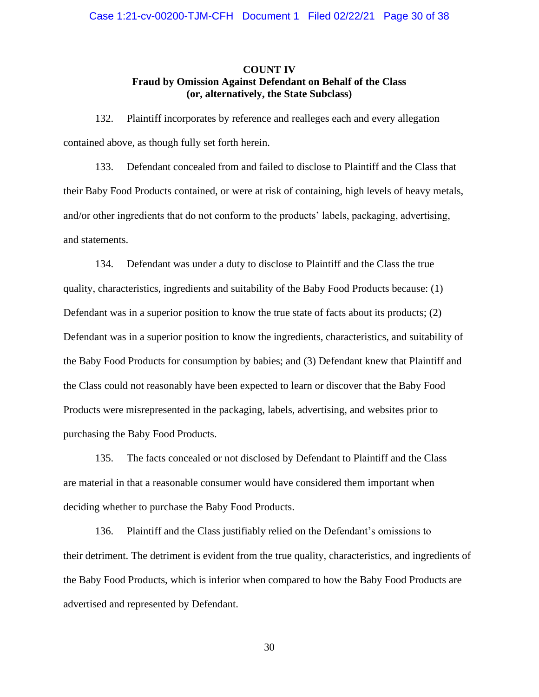# **COUNT IV Fraud by Omission Against Defendant on Behalf of the Class (or, alternatively, the State Subclass)**

132. Plaintiff incorporates by reference and realleges each and every allegation contained above, as though fully set forth herein.

133. Defendant concealed from and failed to disclose to Plaintiff and the Class that their Baby Food Products contained, or were at risk of containing, high levels of heavy metals, and/or other ingredients that do not conform to the products' labels, packaging, advertising, and statements.

134. Defendant was under a duty to disclose to Plaintiff and the Class the true quality, characteristics, ingredients and suitability of the Baby Food Products because: (1) Defendant was in a superior position to know the true state of facts about its products; (2) Defendant was in a superior position to know the ingredients, characteristics, and suitability of the Baby Food Products for consumption by babies; and (3) Defendant knew that Plaintiff and the Class could not reasonably have been expected to learn or discover that the Baby Food Products were misrepresented in the packaging, labels, advertising, and websites prior to purchasing the Baby Food Products.

135. The facts concealed or not disclosed by Defendant to Plaintiff and the Class are material in that a reasonable consumer would have considered them important when deciding whether to purchase the Baby Food Products.

136. Plaintiff and the Class justifiably relied on the Defendant's omissions to their detriment. The detriment is evident from the true quality, characteristics, and ingredients of the Baby Food Products, which is inferior when compared to how the Baby Food Products are advertised and represented by Defendant.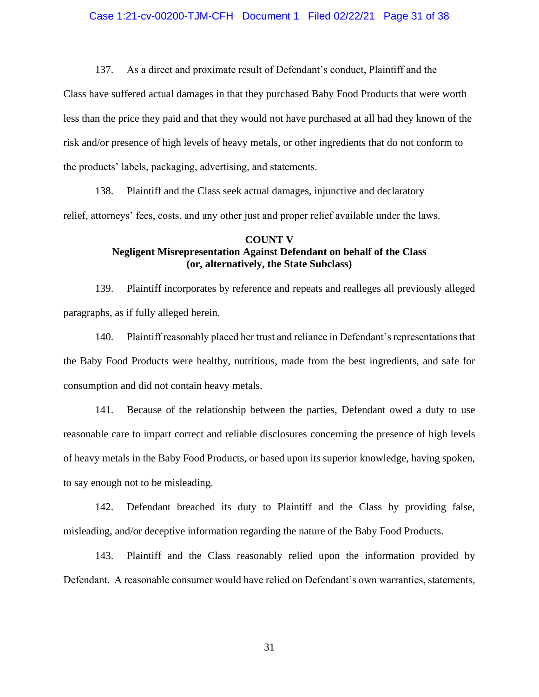137. As a direct and proximate result of Defendant's conduct, Plaintiff and the

Class have suffered actual damages in that they purchased Baby Food Products that were worth less than the price they paid and that they would not have purchased at all had they known of the risk and/or presence of high levels of heavy metals, or other ingredients that do not conform to the products' labels, packaging, advertising, and statements.

138. Plaintiff and the Class seek actual damages, injunctive and declaratory relief, attorneys' fees, costs, and any other just and proper relief available under the laws.

# **COUNT V Negligent Misrepresentation Against Defendant on behalf of the Class (or, alternatively, the State Subclass)**

139. Plaintiff incorporates by reference and repeats and realleges all previously alleged paragraphs, as if fully alleged herein.

140. Plaintiff reasonably placed her trust and reliance in Defendant's representations that the Baby Food Products were healthy, nutritious, made from the best ingredients, and safe for consumption and did not contain heavy metals.

141. Because of the relationship between the parties, Defendant owed a duty to use reasonable care to impart correct and reliable disclosures concerning the presence of high levels of heavy metals in the Baby Food Products, or based upon its superior knowledge, having spoken, to say enough not to be misleading.

142. Defendant breached its duty to Plaintiff and the Class by providing false, misleading, and/or deceptive information regarding the nature of the Baby Food Products.

143. Plaintiff and the Class reasonably relied upon the information provided by Defendant. A reasonable consumer would have relied on Defendant's own warranties, statements,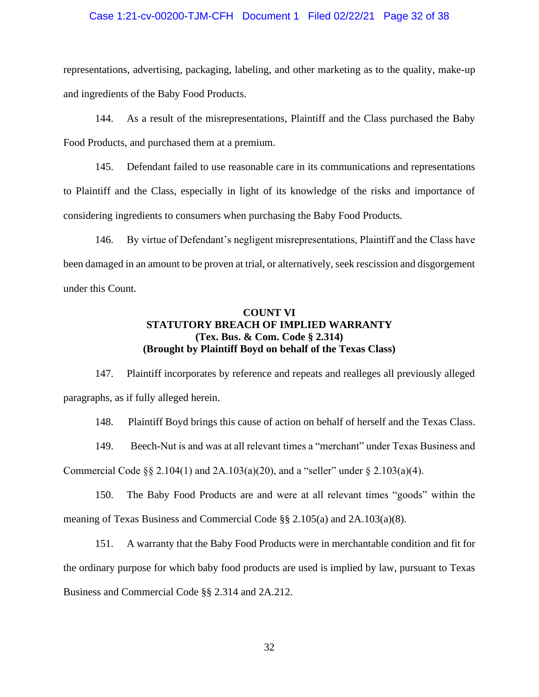# Case 1:21-cv-00200-TJM-CFH Document 1 Filed 02/22/21 Page 32 of 38

representations, advertising, packaging, labeling, and other marketing as to the quality, make-up and ingredients of the Baby Food Products.

144. As a result of the misrepresentations, Plaintiff and the Class purchased the Baby Food Products, and purchased them at a premium.

145. Defendant failed to use reasonable care in its communications and representations to Plaintiff and the Class, especially in light of its knowledge of the risks and importance of considering ingredients to consumers when purchasing the Baby Food Products.

146. By virtue of Defendant's negligent misrepresentations, Plaintiff and the Class have been damaged in an amount to be proven at trial, or alternatively, seek rescission and disgorgement under this Count.

# **COUNT VI STATUTORY BREACH OF IMPLIED WARRANTY (Tex. Bus. & Com. Code § 2.314) (Brought by Plaintiff Boyd on behalf of the Texas Class)**

147. Plaintiff incorporates by reference and repeats and realleges all previously alleged paragraphs, as if fully alleged herein.

148. Plaintiff Boyd brings this cause of action on behalf of herself and the Texas Class.

149. Beech-Nut is and was at all relevant times a "merchant" under Texas Business and Commercial Code  $\S$ § 2.104(1) and 2A.103(a)(20), and a "seller" under  $\S$  2.103(a)(4).

150. The Baby Food Products are and were at all relevant times "goods" within the meaning of Texas Business and Commercial Code §§ 2.105(a) and 2A.103(a)(8).

151. A warranty that the Baby Food Products were in merchantable condition and fit for the ordinary purpose for which baby food products are used is implied by law, pursuant to Texas Business and Commercial Code §§ 2.314 and 2A.212.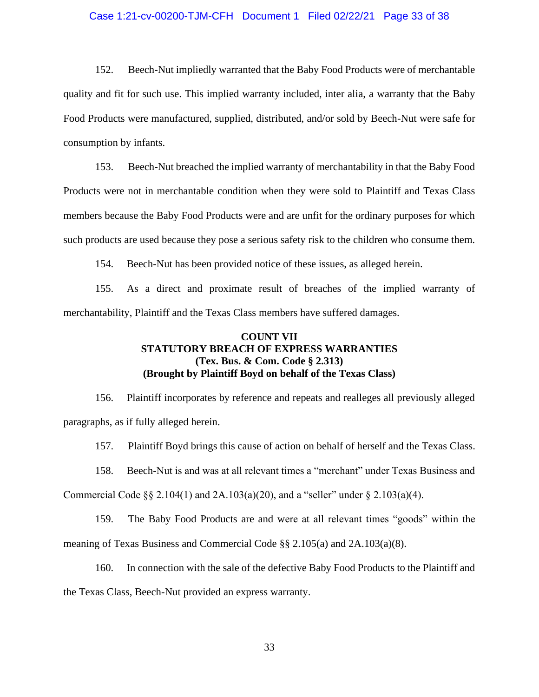# Case 1:21-cv-00200-TJM-CFH Document 1 Filed 02/22/21 Page 33 of 38

152. Beech-Nut impliedly warranted that the Baby Food Products were of merchantable quality and fit for such use. This implied warranty included, inter alia, a warranty that the Baby Food Products were manufactured, supplied, distributed, and/or sold by Beech-Nut were safe for consumption by infants.

153. Beech-Nut breached the implied warranty of merchantability in that the Baby Food Products were not in merchantable condition when they were sold to Plaintiff and Texas Class members because the Baby Food Products were and are unfit for the ordinary purposes for which such products are used because they pose a serious safety risk to the children who consume them.

154. Beech-Nut has been provided notice of these issues, as alleged herein.

155. As a direct and proximate result of breaches of the implied warranty of merchantability, Plaintiff and the Texas Class members have suffered damages.

# **COUNT VII STATUTORY BREACH OF EXPRESS WARRANTIES (Tex. Bus. & Com. Code § 2.313) (Brought by Plaintiff Boyd on behalf of the Texas Class)**

156. Plaintiff incorporates by reference and repeats and realleges all previously alleged paragraphs, as if fully alleged herein.

157. Plaintiff Boyd brings this cause of action on behalf of herself and the Texas Class.

158. Beech-Nut is and was at all relevant times a "merchant" under Texas Business and

Commercial Code  $\S$ § 2.104(1) and 2A.103(a)(20), and a "seller" under  $\S$  2.103(a)(4).

159. The Baby Food Products are and were at all relevant times "goods" within the

meaning of Texas Business and Commercial Code §§ 2.105(a) and 2A.103(a)(8).

160. In connection with the sale of the defective Baby Food Products to the Plaintiff and the Texas Class, Beech-Nut provided an express warranty.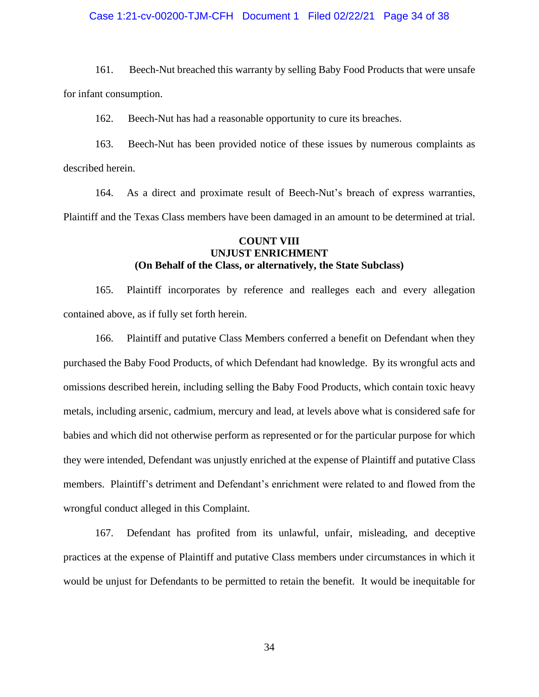# Case 1:21-cv-00200-TJM-CFH Document 1 Filed 02/22/21 Page 34 of 38

161. Beech-Nut breached this warranty by selling Baby Food Products that were unsafe for infant consumption.

162. Beech-Nut has had a reasonable opportunity to cure its breaches.

163. Beech-Nut has been provided notice of these issues by numerous complaints as described herein.

164. As a direct and proximate result of Beech-Nut's breach of express warranties, Plaintiff and the Texas Class members have been damaged in an amount to be determined at trial.

# **COUNT VIII UNJUST ENRICHMENT (On Behalf of the Class, or alternatively, the State Subclass)**

165. Plaintiff incorporates by reference and realleges each and every allegation contained above, as if fully set forth herein.

166. Plaintiff and putative Class Members conferred a benefit on Defendant when they purchased the Baby Food Products, of which Defendant had knowledge. By its wrongful acts and omissions described herein, including selling the Baby Food Products, which contain toxic heavy metals, including arsenic, cadmium, mercury and lead, at levels above what is considered safe for babies and which did not otherwise perform as represented or for the particular purpose for which they were intended, Defendant was unjustly enriched at the expense of Plaintiff and putative Class members. Plaintiff's detriment and Defendant's enrichment were related to and flowed from the wrongful conduct alleged in this Complaint.

167. Defendant has profited from its unlawful, unfair, misleading, and deceptive practices at the expense of Plaintiff and putative Class members under circumstances in which it would be unjust for Defendants to be permitted to retain the benefit. It would be inequitable for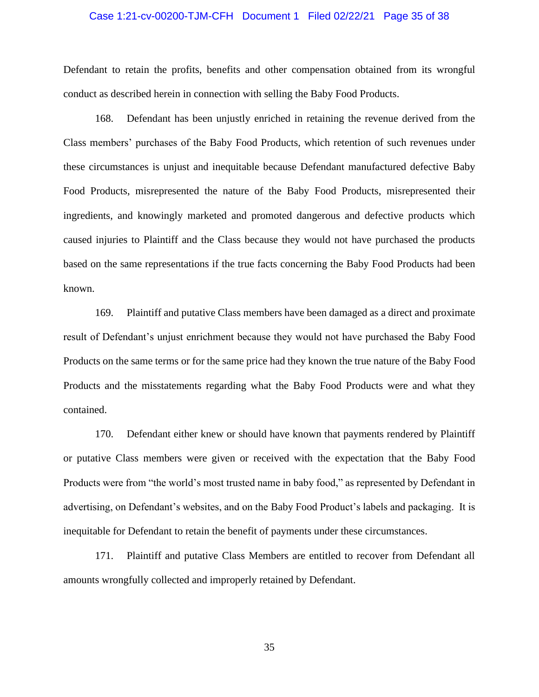# Case 1:21-cv-00200-TJM-CFH Document 1 Filed 02/22/21 Page 35 of 38

Defendant to retain the profits, benefits and other compensation obtained from its wrongful conduct as described herein in connection with selling the Baby Food Products.

168. Defendant has been unjustly enriched in retaining the revenue derived from the Class members' purchases of the Baby Food Products, which retention of such revenues under these circumstances is unjust and inequitable because Defendant manufactured defective Baby Food Products, misrepresented the nature of the Baby Food Products, misrepresented their ingredients, and knowingly marketed and promoted dangerous and defective products which caused injuries to Plaintiff and the Class because they would not have purchased the products based on the same representations if the true facts concerning the Baby Food Products had been known.

169. Plaintiff and putative Class members have been damaged as a direct and proximate result of Defendant's unjust enrichment because they would not have purchased the Baby Food Products on the same terms or for the same price had they known the true nature of the Baby Food Products and the misstatements regarding what the Baby Food Products were and what they contained.

170. Defendant either knew or should have known that payments rendered by Plaintiff or putative Class members were given or received with the expectation that the Baby Food Products were from "the world's most trusted name in baby food," as represented by Defendant in advertising, on Defendant's websites, and on the Baby Food Product's labels and packaging. It is inequitable for Defendant to retain the benefit of payments under these circumstances.

171. Plaintiff and putative Class Members are entitled to recover from Defendant all amounts wrongfully collected and improperly retained by Defendant.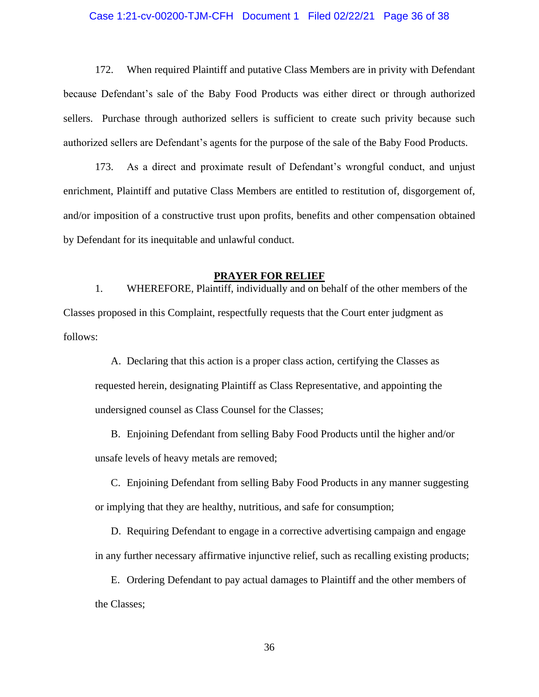# Case 1:21-cv-00200-TJM-CFH Document 1 Filed 02/22/21 Page 36 of 38

172. When required Plaintiff and putative Class Members are in privity with Defendant because Defendant's sale of the Baby Food Products was either direct or through authorized sellers. Purchase through authorized sellers is sufficient to create such privity because such authorized sellers are Defendant's agents for the purpose of the sale of the Baby Food Products.

173. As a direct and proximate result of Defendant's wrongful conduct, and unjust enrichment, Plaintiff and putative Class Members are entitled to restitution of, disgorgement of, and/or imposition of a constructive trust upon profits, benefits and other compensation obtained by Defendant for its inequitable and unlawful conduct.

# **PRAYER FOR RELIEF**

1. WHEREFORE, Plaintiff, individually and on behalf of the other members of the Classes proposed in this Complaint, respectfully requests that the Court enter judgment as follows:

A. Declaring that this action is a proper class action, certifying the Classes as requested herein, designating Plaintiff as Class Representative, and appointing the undersigned counsel as Class Counsel for the Classes;

B. Enjoining Defendant from selling Baby Food Products until the higher and/or unsafe levels of heavy metals are removed;

C. Enjoining Defendant from selling Baby Food Products in any manner suggesting or implying that they are healthy, nutritious, and safe for consumption;

D. Requiring Defendant to engage in a corrective advertising campaign and engage in any further necessary affirmative injunctive relief, such as recalling existing products;

E. Ordering Defendant to pay actual damages to Plaintiff and the other members of the Classes;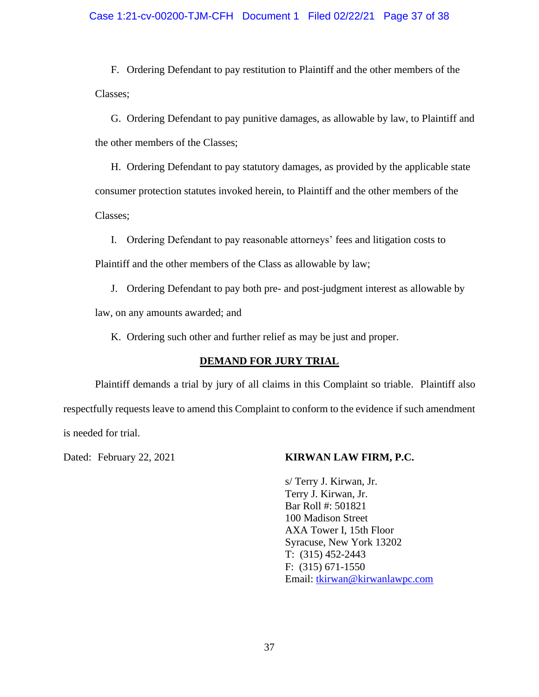# Case 1:21-cv-00200-TJM-CFH Document 1 Filed 02/22/21 Page 37 of 38

F. Ordering Defendant to pay restitution to Plaintiff and the other members of the Classes;

G. Ordering Defendant to pay punitive damages, as allowable by law, to Plaintiff and the other members of the Classes;

H. Ordering Defendant to pay statutory damages, as provided by the applicable state consumer protection statutes invoked herein, to Plaintiff and the other members of the Classes;

I. Ordering Defendant to pay reasonable attorneys' fees and litigation costs to Plaintiff and the other members of the Class as allowable by law;

J. Ordering Defendant to pay both pre- and post-judgment interest as allowable by

law, on any amounts awarded; and

K. Ordering such other and further relief as may be just and proper.

# **DEMAND FOR JURY TRIAL**

Plaintiff demands a trial by jury of all claims in this Complaint so triable. Plaintiff also respectfully requests leave to amend this Complaint to conform to the evidence if such amendment is needed for trial.

# Dated: February 22, 2021 **KIRWAN LAW FIRM, P.C.**

s/ Terry J. Kirwan, Jr. Terry J. Kirwan, Jr. Bar Roll #: 501821 100 Madison Street AXA Tower I, 15th Floor Syracuse, New York 13202 T: (315) 452-2443 F: (315) 671-1550 Email: tkirwan@kirwanlawpc.com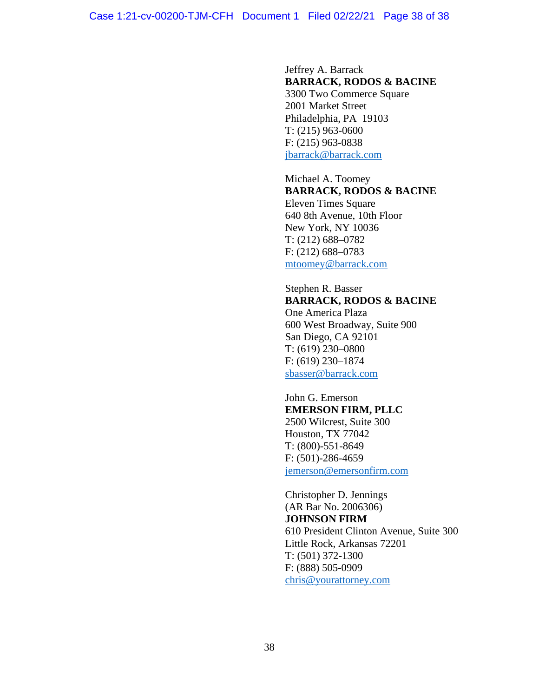Jeffrey A. Barrack **BARRACK, RODOS & BACINE** 3300 Two Commerce Square 2001 Market Street Philadelphia, PA 19103 T: (215) 963-0600 F: (215) 963-0838 jbarrack@barrack.com

Michael A. Toomey **BARRACK, RODOS & BACINE** Eleven Times Square 640 8th Avenue, 10th Floor New York, NY 10036 T: (212) 688–0782 F: (212) 688–0783 mtoomey@barrack.com

Stephen R. Basser **BARRACK, RODOS & BACINE** One America Plaza 600 West Broadway, Suite 900 San Diego, CA 92101 T: (619) 230–0800 F: (619) 230–1874 sbasser@barrack.com

John G. Emerson **EMERSON FIRM, PLLC** 2500 Wilcrest, Suite 300 Houston, TX 77042 T: (800)-551-8649 F: (501)-286-4659 jemerson@emersonfirm.com

Christopher D. Jennings (AR Bar No. 2006306) **JOHNSON FIRM** 610 President Clinton Avenue, Suite 300 Little Rock, Arkansas 72201 T: (501) 372-1300 F: (888) 505-0909 chris@yourattorney.com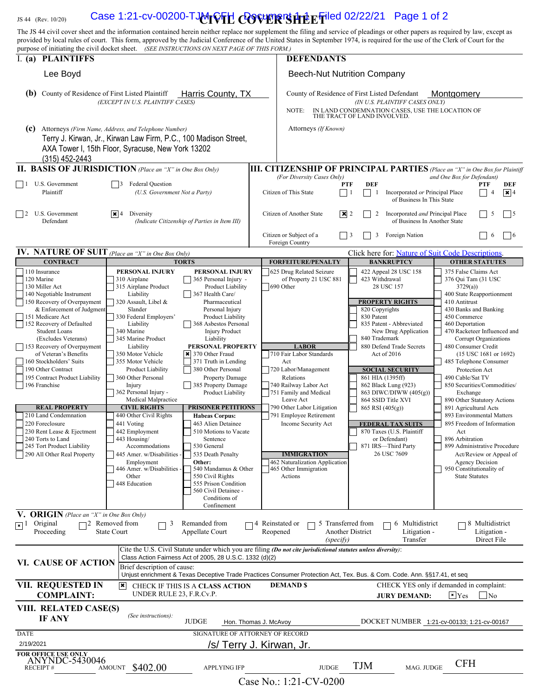# JS 44 (Rev. 10/20) **Case 1:21-cv-00200-TJMrVFH COVER SHEEFiled 02/22/21** Page 1 of 2

The JS 44 civil cover sheet and the information contained herein neither replace nor supplement the filing and service of pleadings or other papers as required by law, except as provided by local rules of court. This form, approved by the Judicial Conference of the United States in September 1974, is required for the use of the Clerk of Court for the purpose of initiating the civil docket sheet. *(SEE INSTRUCTIONS ON NEXT PAGE OF THIS FORM.)*

| I. (a) PLAINTIFFS                                                                                                                                                                                                                                                                                                                                                                                                                                                                                                                                                                      |                                                                                                                                                                                                                                                                                                                                                                                                                                                                                                                                                                       |                                                                                                                                                                                                                                                                                                                                                                                                                                                                                                                                                                                                                                                                            | <b>DEFENDANTS</b>                                                                                                                                                                                                                                                                                                                                                                                   |                                                                                                                                                                                                                                                                                                                                                                                                                                                                                           |                                                                                                                                                                                                                                                                                                                                                                                                                                                                                                                                                                                                                                                                               |  |
|----------------------------------------------------------------------------------------------------------------------------------------------------------------------------------------------------------------------------------------------------------------------------------------------------------------------------------------------------------------------------------------------------------------------------------------------------------------------------------------------------------------------------------------------------------------------------------------|-----------------------------------------------------------------------------------------------------------------------------------------------------------------------------------------------------------------------------------------------------------------------------------------------------------------------------------------------------------------------------------------------------------------------------------------------------------------------------------------------------------------------------------------------------------------------|----------------------------------------------------------------------------------------------------------------------------------------------------------------------------------------------------------------------------------------------------------------------------------------------------------------------------------------------------------------------------------------------------------------------------------------------------------------------------------------------------------------------------------------------------------------------------------------------------------------------------------------------------------------------------|-----------------------------------------------------------------------------------------------------------------------------------------------------------------------------------------------------------------------------------------------------------------------------------------------------------------------------------------------------------------------------------------------------|-------------------------------------------------------------------------------------------------------------------------------------------------------------------------------------------------------------------------------------------------------------------------------------------------------------------------------------------------------------------------------------------------------------------------------------------------------------------------------------------|-------------------------------------------------------------------------------------------------------------------------------------------------------------------------------------------------------------------------------------------------------------------------------------------------------------------------------------------------------------------------------------------------------------------------------------------------------------------------------------------------------------------------------------------------------------------------------------------------------------------------------------------------------------------------------|--|
| Lee Boyd                                                                                                                                                                                                                                                                                                                                                                                                                                                                                                                                                                               |                                                                                                                                                                                                                                                                                                                                                                                                                                                                                                                                                                       | <b>Beech-Nut Nutrition Company</b>                                                                                                                                                                                                                                                                                                                                                                                                                                                                                                                                                                                                                                         |                                                                                                                                                                                                                                                                                                                                                                                                     |                                                                                                                                                                                                                                                                                                                                                                                                                                                                                           |                                                                                                                                                                                                                                                                                                                                                                                                                                                                                                                                                                                                                                                                               |  |
| County of Residence of First Listed Plaintiff<br>Harris County, TX<br>(b)<br>(EXCEPT IN U.S. PLAINTIFF CASES)                                                                                                                                                                                                                                                                                                                                                                                                                                                                          |                                                                                                                                                                                                                                                                                                                                                                                                                                                                                                                                                                       |                                                                                                                                                                                                                                                                                                                                                                                                                                                                                                                                                                                                                                                                            | NOTE:                                                                                                                                                                                                                                                                                                                                                                                               | County of Residence of First Listed Defendant<br>Montaomerv<br>(IN U.S. PLAINTIFF CASES ONLY)<br>IN LAND CONDEMNATION CASES, USE THE LOCATION OF                                                                                                                                                                                                                                                                                                                                          |                                                                                                                                                                                                                                                                                                                                                                                                                                                                                                                                                                                                                                                                               |  |
| (c)                                                                                                                                                                                                                                                                                                                                                                                                                                                                                                                                                                                    | Attorneys (Firm Name, Address, and Telephone Number)<br>Terry J. Kirwan, Jr., Kirwan Law Firm, P.C., 100 Madison Street,<br>AXA Tower I, 15th Floor, Syracuse, New York 13202                                                                                                                                                                                                                                                                                                                                                                                         |                                                                                                                                                                                                                                                                                                                                                                                                                                                                                                                                                                                                                                                                            | Attorneys (If Known)                                                                                                                                                                                                                                                                                                                                                                                | THE TRACT OF LAND INVOLVED.                                                                                                                                                                                                                                                                                                                                                                                                                                                               |                                                                                                                                                                                                                                                                                                                                                                                                                                                                                                                                                                                                                                                                               |  |
| (315) 452-2443                                                                                                                                                                                                                                                                                                                                                                                                                                                                                                                                                                         |                                                                                                                                                                                                                                                                                                                                                                                                                                                                                                                                                                       |                                                                                                                                                                                                                                                                                                                                                                                                                                                                                                                                                                                                                                                                            |                                                                                                                                                                                                                                                                                                                                                                                                     |                                                                                                                                                                                                                                                                                                                                                                                                                                                                                           |                                                                                                                                                                                                                                                                                                                                                                                                                                                                                                                                                                                                                                                                               |  |
| <b>II. BASIS OF JURISDICTION</b> (Place an "X" in One Box Only)<br>$\vert$   1 U.S. Government<br>Plaintiff                                                                                                                                                                                                                                                                                                                                                                                                                                                                            | <b>Federal Question</b><br>$\overline{13}$<br>(U.S. Government Not a Party)                                                                                                                                                                                                                                                                                                                                                                                                                                                                                           |                                                                                                                                                                                                                                                                                                                                                                                                                                                                                                                                                                                                                                                                            | <b>III. CITIZENSHIP OF PRINCIPAL PARTIES</b> (Place an "X" in One Box for Plaintiff<br>(For Diversity Cases Only)<br>Citizen of This State                                                                                                                                                                                                                                                          | <b>PTF</b><br><b>DEF</b><br>$\vert$ 1<br>Incorporated or Principal Place<br>$\overline{\phantom{a}}$<br>-1<br>of Business In This State                                                                                                                                                                                                                                                                                                                                                   | and One Box for Defendant)<br>PTF<br>DEF<br>$\sqrt{\mathbf{x}}$ 4<br>$\overline{4}$                                                                                                                                                                                                                                                                                                                                                                                                                                                                                                                                                                                           |  |
| $\vert$ 2<br>U.S. Government<br>Defendant                                                                                                                                                                                                                                                                                                                                                                                                                                                                                                                                              | $ \mathbf{x} $ 4<br>Diversity                                                                                                                                                                                                                                                                                                                                                                                                                                                                                                                                         | (Indicate Citizenship of Parties in Item III)                                                                                                                                                                                                                                                                                                                                                                                                                                                                                                                                                                                                                              | Citizen of Another State                                                                                                                                                                                                                                                                                                                                                                            | $\boxed{\mathbf{X}}$ 2<br>Incorporated and Principal Place<br>2<br>of Business In Another State                                                                                                                                                                                                                                                                                                                                                                                           | 5<br>$\vert$ 15                                                                                                                                                                                                                                                                                                                                                                                                                                                                                                                                                                                                                                                               |  |
|                                                                                                                                                                                                                                                                                                                                                                                                                                                                                                                                                                                        |                                                                                                                                                                                                                                                                                                                                                                                                                                                                                                                                                                       |                                                                                                                                                                                                                                                                                                                                                                                                                                                                                                                                                                                                                                                                            | Citizen or Subject of a<br>Foreign Country                                                                                                                                                                                                                                                                                                                                                          | 3<br>Foreign Nation<br>$\vert$ 3                                                                                                                                                                                                                                                                                                                                                                                                                                                          | $\vert$ 6<br>6                                                                                                                                                                                                                                                                                                                                                                                                                                                                                                                                                                                                                                                                |  |
| <b>IV. NATURE OF SUIT</b> (Place an "X" in One Box Only)                                                                                                                                                                                                                                                                                                                                                                                                                                                                                                                               |                                                                                                                                                                                                                                                                                                                                                                                                                                                                                                                                                                       |                                                                                                                                                                                                                                                                                                                                                                                                                                                                                                                                                                                                                                                                            |                                                                                                                                                                                                                                                                                                                                                                                                     | Click here for: Nature of Suit Code Descriptions.                                                                                                                                                                                                                                                                                                                                                                                                                                         |                                                                                                                                                                                                                                                                                                                                                                                                                                                                                                                                                                                                                                                                               |  |
| <b>CONTRACT</b>                                                                                                                                                                                                                                                                                                                                                                                                                                                                                                                                                                        |                                                                                                                                                                                                                                                                                                                                                                                                                                                                                                                                                                       | <b>TORTS</b>                                                                                                                                                                                                                                                                                                                                                                                                                                                                                                                                                                                                                                                               | <b>FORFEITURE/PENALTY</b>                                                                                                                                                                                                                                                                                                                                                                           | <b>BANKRUPTCY</b>                                                                                                                                                                                                                                                                                                                                                                                                                                                                         | <b>OTHER STATUTES</b>                                                                                                                                                                                                                                                                                                                                                                                                                                                                                                                                                                                                                                                         |  |
| 110 Insurance<br>120 Marine<br>130 Miller Act<br>140 Negotiable Instrument<br>150 Recovery of Overpayment<br>& Enforcement of Judgment<br>151 Medicare Act<br>152 Recovery of Defaulted<br><b>Student Loans</b><br>(Excludes Veterans)<br>153 Recovery of Overpayment<br>of Veteran's Benefits<br>160 Stockholders' Suits<br>190 Other Contract<br>195 Contract Product Liability<br>196 Franchise<br><b>REAL PROPERTY</b><br>210 Land Condemnation<br>220 Foreclosure<br>230 Rent Lease & Ejectment<br>240 Torts to Land<br>245 Tort Product Liability<br>290 All Other Real Property | PERSONAL INJURY<br>310 Airplane<br>315 Airplane Product<br>Liability<br>320 Assault, Libel &<br>Slander<br>330 Federal Employers'<br>Liability<br>340 Marine<br>345 Marine Product<br>Liability<br>350 Motor Vehicle<br>355 Motor Vehicle<br>Product Liability<br>360 Other Personal<br>Injury<br>362 Personal Injury -<br>Medical Malpractice<br><b>CIVIL RIGHTS</b><br>440 Other Civil Rights<br>441 Voting<br>442 Employment<br>443 Housing/<br>Accommodations<br>445 Amer. w/Disabilities -<br>Employment<br>446 Amer. w/Disabilities -<br>Other<br>448 Education | PERSONAL INJURY<br>365 Personal Injury -<br>Product Liability<br>367 Health Care/<br>Pharmaceutical<br>Personal Injury<br>Product Liability<br>368 Asbestos Personal<br><b>Injury Product</b><br>Liability<br>PERSONAL PROPERTY<br>$\times$ 370 Other Fraud<br>371 Truth in Lending<br>380 Other Personal<br><b>Property Damage</b><br>385 Property Damage<br>Product Liability<br><b>PRISONER PETITIONS</b><br><b>Habeas Corpus:</b><br>463 Alien Detainee<br>510 Motions to Vacate<br>Sentence<br>530 General<br>535 Death Penalty<br>Other:<br>540 Mandamus & Other<br>550 Civil Rights<br>555 Prison Condition<br>560 Civil Detainee -<br>Conditions of<br>Confinement | 625 Drug Related Seizure<br>of Property 21 USC 881<br>690 Other<br><b>LABOR</b><br>710 Fair Labor Standards<br>Act<br>720 Labor/Management<br>Relations<br>740 Railway Labor Act<br>751 Family and Medical<br>Leave Act<br>790 Other Labor Litigation<br>791 Employee Retirement<br>Income Security Act<br><b>IMMIGRATION</b><br>462 Naturalization Application<br>465 Other Immigration<br>Actions | 422 Appeal 28 USC 158<br>423 Withdrawal<br>28 USC 157<br><b>PROPERTY RIGHTS</b><br>820 Copyrights<br>830 Patent<br>835 Patent - Abbreviated<br>New Drug Application<br>840 Trademark<br>880 Defend Trade Secrets<br>Act of 2016<br><b>SOCIAL SECURITY</b><br>861 HIA (1395ff)<br>862 Black Lung (923)<br>863 DIWC/DIWW (405(g))<br>864 SSID Title XVI<br>865 RSI (405(g))<br><b>FEDERAL TAX SUITS</b><br>870 Taxes (U.S. Plaintiff<br>or Defendant)<br>871 IRS-Third Party<br>26 USC 7609 | 375 False Claims Act<br>376 Qui Tam (31 USC<br>3729(a)<br>400 State Reapportionment<br>410 Antitrust<br>430 Banks and Banking<br>450 Commerce<br>460 Deportation<br>470 Racketeer Influenced and<br>Corrupt Organizations<br>480 Consumer Credit<br>$(15$ USC 1681 or 1692)<br>485 Telephone Consumer<br>Protection Act<br>490 Cable/Sat TV<br>850 Securities/Commodities/<br>Exchange<br>890 Other Statutory Actions<br>891 Agricultural Acts<br>893 Environmental Matters<br>895 Freedom of Information<br>Act<br>896 Arbitration<br>899 Administrative Procedure<br>Act/Review or Appeal of<br><b>Agency Decision</b><br>950 Constitutionality of<br><b>State Statutes</b> |  |
| <b>V. ORIGIN</b> (Place an "X" in One Box Only)<br>$\sqrt{\mathbf{x}}$ 1 Original<br>Proceeding                                                                                                                                                                                                                                                                                                                                                                                                                                                                                        | $\Box$ 2 Removed from<br>3<br><b>State Court</b>                                                                                                                                                                                                                                                                                                                                                                                                                                                                                                                      | Remanded from<br>Appellate Court                                                                                                                                                                                                                                                                                                                                                                                                                                                                                                                                                                                                                                           | 4 Reinstated or<br>Reopened<br>(specify)                                                                                                                                                                                                                                                                                                                                                            | 5 Transferred from<br>Multidistrict<br>6<br><b>Another District</b><br>Litigation -<br>Transfer                                                                                                                                                                                                                                                                                                                                                                                           | $\neg$ 8 Multidistrict<br>Litigation -<br>Direct File                                                                                                                                                                                                                                                                                                                                                                                                                                                                                                                                                                                                                         |  |
| VI. CAUSE OF ACTION                                                                                                                                                                                                                                                                                                                                                                                                                                                                                                                                                                    | Brief description of cause:                                                                                                                                                                                                                                                                                                                                                                                                                                                                                                                                           | Class Action Fairness Act of 2005, 28 U.S.C. 1332 (d)(2)                                                                                                                                                                                                                                                                                                                                                                                                                                                                                                                                                                                                                   | Cite the U.S. Civil Statute under which you are filing (Do not cite jurisdictional statutes unless diversity):<br>Unjust enrichment & Texas Deceptive Trade Practices Consumer Protection Act, Tex. Bus. & Com. Code. Ann. §§17.41, et seq                                                                                                                                                          |                                                                                                                                                                                                                                                                                                                                                                                                                                                                                           |                                                                                                                                                                                                                                                                                                                                                                                                                                                                                                                                                                                                                                                                               |  |
| <b>VII. REQUESTED IN</b><br><b>COMPLAINT:</b>                                                                                                                                                                                                                                                                                                                                                                                                                                                                                                                                          | ∣×∣<br>UNDER RULE 23, F.R.Cv.P.                                                                                                                                                                                                                                                                                                                                                                                                                                                                                                                                       | CHECK IF THIS IS A CLASS ACTION                                                                                                                                                                                                                                                                                                                                                                                                                                                                                                                                                                                                                                            | <b>DEMAND \$</b>                                                                                                                                                                                                                                                                                                                                                                                    | <b>JURY DEMAND:</b>                                                                                                                                                                                                                                                                                                                                                                                                                                                                       | CHECK YES only if demanded in complaint:<br>$\vert$ × $\vert$ Yes<br>$\neg$ No                                                                                                                                                                                                                                                                                                                                                                                                                                                                                                                                                                                                |  |
| VIII. RELATED CASE(S)<br><b>IF ANY</b>                                                                                                                                                                                                                                                                                                                                                                                                                                                                                                                                                 | (See instructions):                                                                                                                                                                                                                                                                                                                                                                                                                                                                                                                                                   | <b>JUDGE</b>                                                                                                                                                                                                                                                                                                                                                                                                                                                                                                                                                                                                                                                               | Hon. Thomas J. McAvoy                                                                                                                                                                                                                                                                                                                                                                               |                                                                                                                                                                                                                                                                                                                                                                                                                                                                                           | DOCKET NUMBER 1:21-cv-00133; 1:21-cv-00167                                                                                                                                                                                                                                                                                                                                                                                                                                                                                                                                                                                                                                    |  |
| DATE                                                                                                                                                                                                                                                                                                                                                                                                                                                                                                                                                                                   |                                                                                                                                                                                                                                                                                                                                                                                                                                                                                                                                                                       | SIGNATURE OF ATTORNEY OF RECORD                                                                                                                                                                                                                                                                                                                                                                                                                                                                                                                                                                                                                                            |                                                                                                                                                                                                                                                                                                                                                                                                     |                                                                                                                                                                                                                                                                                                                                                                                                                                                                                           |                                                                                                                                                                                                                                                                                                                                                                                                                                                                                                                                                                                                                                                                               |  |
| 2/19/2021<br>FOR OFFICE USE ONLY<br><b>ANYNDC-5430046</b>                                                                                                                                                                                                                                                                                                                                                                                                                                                                                                                              |                                                                                                                                                                                                                                                                                                                                                                                                                                                                                                                                                                       |                                                                                                                                                                                                                                                                                                                                                                                                                                                                                                                                                                                                                                                                            | /s/ Terry J. Kirwan, Jr.                                                                                                                                                                                                                                                                                                                                                                            |                                                                                                                                                                                                                                                                                                                                                                                                                                                                                           | <b>CFH</b>                                                                                                                                                                                                                                                                                                                                                                                                                                                                                                                                                                                                                                                                    |  |
| <b>RECEIPT#</b>                                                                                                                                                                                                                                                                                                                                                                                                                                                                                                                                                                        | \$402.00<br>AMOUNT                                                                                                                                                                                                                                                                                                                                                                                                                                                                                                                                                    | <b>APPLYING IFP</b>                                                                                                                                                                                                                                                                                                                                                                                                                                                                                                                                                                                                                                                        | <b>JUDGE</b><br>$C_{256}$ No $\cdot$ 1.21 $CV_{10}$                                                                                                                                                                                                                                                                                                                                                 | <b>TJM</b><br>MAG. JUDGE                                                                                                                                                                                                                                                                                                                                                                                                                                                                  |                                                                                                                                                                                                                                                                                                                                                                                                                                                                                                                                                                                                                                                                               |  |

Case No.: 1:21-CV-0200